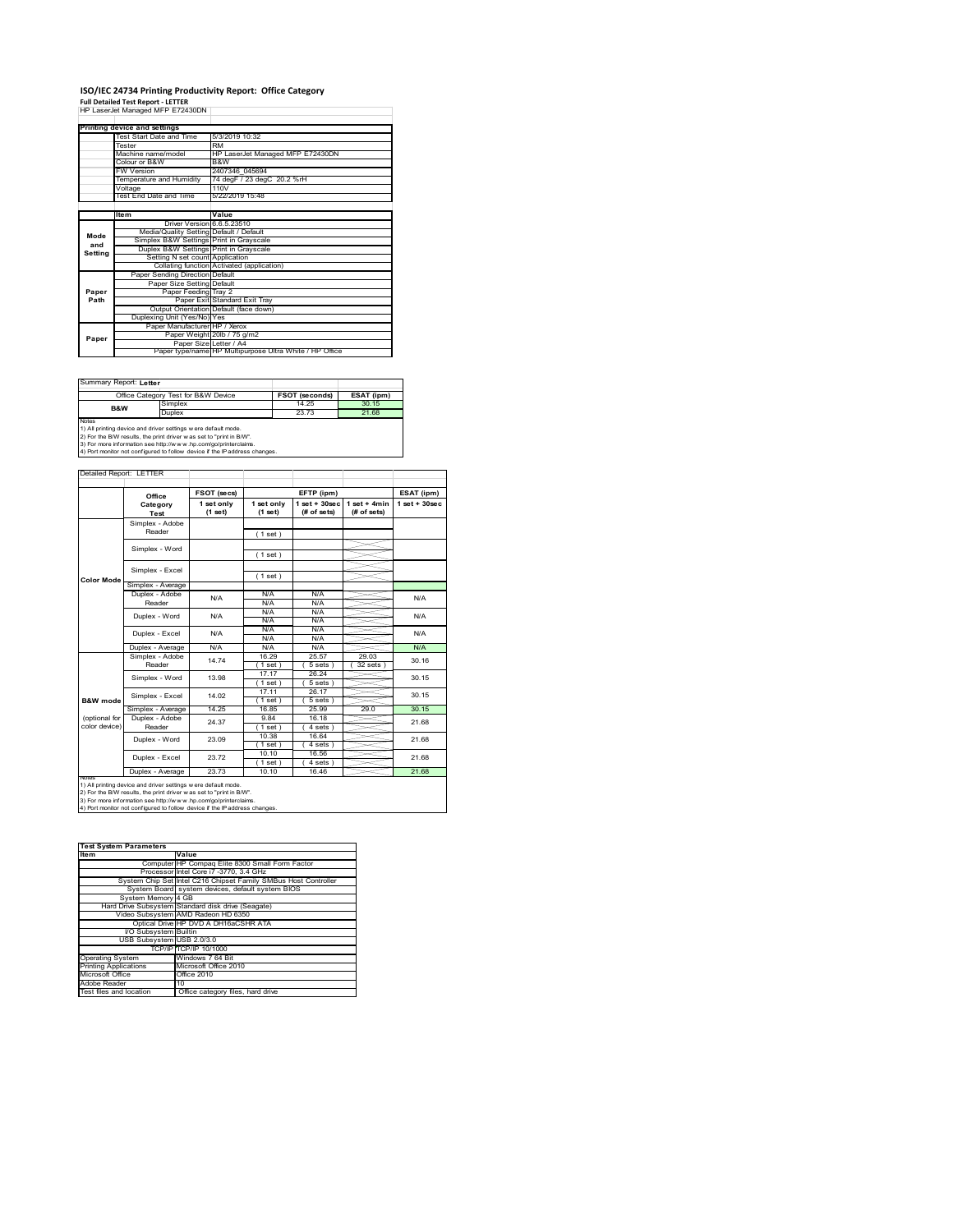# **ISO/IEC 24734 Printing Productivity Report: Office Category<br>Full Detailed Test Report - LETTER<br>HP LaserJet Managed MFP E72430DN |**

|         | Printing device and settings            |                                                         |  |
|---------|-----------------------------------------|---------------------------------------------------------|--|
|         | Test Start Date and Time                | 5/3/2019 10:32                                          |  |
|         | Tester                                  | <b>RM</b>                                               |  |
|         | Machine name/model                      | HP LaserJet Managed MFP E72430DN                        |  |
|         | Colour or B&W                           | B&W                                                     |  |
|         | <b>FW Version</b>                       | 2407346 045694                                          |  |
|         | Temperature and Humidity                | 74 degF / 23 degC 20.2 %rH                              |  |
|         | Voltage                                 | 110V                                                    |  |
|         | Test End Date and Time                  | 5/22/2019 15:48                                         |  |
|         |                                         |                                                         |  |
|         | Item                                    | Value                                                   |  |
|         | Driver Version 6.6.5.23510              |                                                         |  |
| Mode    | Media/Quality Setting Default / Default |                                                         |  |
| and     | Simplex B&W Settings Print in Grayscale |                                                         |  |
| Setting | Duplex B&W Settings Print in Grayscale  |                                                         |  |
|         | Setting N set count Application         |                                                         |  |
|         |                                         | Collating function Activated (application)              |  |
|         | Paper Sending Direction Default         |                                                         |  |
|         | Paper Size Setting Default              |                                                         |  |
| Paper   | Paper Feeding Tray 2                    |                                                         |  |
| Path    |                                         | Paper Exit Standard Exit Tray                           |  |
|         |                                         | Output Orientation Default (face down)                  |  |
|         | Duplexing Unit (Yes/No) Yes             |                                                         |  |
|         | Paper Manufacturer HP / Xerox           |                                                         |  |
| Paper   |                                         | Paper Weight 20lb / 75 g/m2                             |  |
|         | Paper Size Letter / A4                  |                                                         |  |
|         |                                         | Paper type/name HP Multipurpose Ultra White / HP Office |  |

÷,

Summary Report: **Letter**

|                                                                   | Office Category Test for B&W Device | <b>FSOT (seconds)</b> | ESAT (ipm) |  |  |
|-------------------------------------------------------------------|-------------------------------------|-----------------------|------------|--|--|
| B&W                                                               | Simplex                             | 14 25                 | 30.15      |  |  |
|                                                                   | Duplex                              | 23.73                 | 21.68      |  |  |
| <b>Notes</b>                                                      |                                     |                       |            |  |  |
| 1) All printing device and driver settings w ere default mode.    |                                     |                       |            |  |  |
| 2) For the BAV results the print driver was set to "print in BAV" |                                     |                       |            |  |  |

2) For the B/W results, the print driver w as set to "print in B/W".<br>3) For more information see http://w w w .hp.com/go/printerclaims.<br>4) Port monitor not configured to follow device if the IP address changes.

Detailed Report: LETTER  $\overline{\phantom{a}}$ 4

|                     | Office                    | FSOT (secs) |             | EFTP (ipm)       |                | ESAT (ipm)              |
|---------------------|---------------------------|-------------|-------------|------------------|----------------|-------------------------|
|                     | Category                  | 1 set only  | 1 set only  | $1 set + 30 sec$ | $1$ set + 4min | $1$ set + $30$ sec      |
|                     | Test                      | (1 set)     | (1 set)     | (# of sets)      | (# of sets)    |                         |
|                     | Simplex - Adobe           |             |             |                  |                |                         |
|                     | Reader                    |             | (1 set)     |                  |                |                         |
|                     | Simplex - Word            |             |             |                  |                |                         |
|                     |                           |             | (1 set)     |                  |                |                         |
|                     | Simplex - Excel           |             |             |                  |                |                         |
| <b>Color Mode</b>   |                           |             | (1 set)     |                  |                |                         |
|                     | Simplex - Average         |             |             |                  |                |                         |
|                     | Duplex - Adobe            | N/A         | N/A         | N/A              |                | N/A                     |
|                     | Reader                    |             | N/A         | N/A              |                |                         |
|                     | Duplex - Word             | N/A         | N/A         | N/A              |                | N/A                     |
|                     |                           |             | N/A         | N/A              |                |                         |
|                     | Duplex - Excel            | N/A         | N/A         | N/A              |                | N/A                     |
|                     |                           |             | N/A         | N/A              |                |                         |
|                     | Duplex - Average          | N/A         | N/A         | N/A              |                | N/A                     |
|                     | Simplex - Adobe<br>Reader | 14 74       | 16.29       | 25.57            | 29.03          | 30.16<br>30.15<br>30.15 |
|                     |                           |             | $1$ set)    | 5 sets           | $32$ sets $)$  |                         |
|                     | Simplex - Word            | 13.98       | 17 17       | 26.24            |                |                         |
|                     |                           |             | $1$ set)    | 5 sets)          |                |                         |
|                     | Simplex - Excel           | 14.02       | 17.11       | 26.17            |                |                         |
| <b>B&amp;W</b> mode |                           |             | $1$ set)    | 5 sets 1         |                |                         |
|                     | Simplex - Average         | 14.25       | 16.85       | 25.99            | 29.0           | 30.15                   |
| (optional for       | Duplex - Adobe            | 24.37       | 9.84        | 16.18            |                |                         |
| color device)       | Reader                    |             | 1 set)      | $4 sets$ )       |                | 21.68                   |
|                     | Duplex - Word             | 23.09       | 10.38       | 16.64            |                | 21.68                   |
|                     |                           |             | $1$ set $1$ | $4 sets$ )       |                |                         |
|                     | Duplex - Excel            | 23.72       | 10.10       | 16.56            |                | 21.68                   |
|                     |                           |             | $1$ set)    | $4 sets$ )       |                |                         |
|                     | Duplex - Average          | 23.73       | 10.10       | 16.46            |                | 21.68                   |

| <b>Test System Parameters</b> |                                                                 |  |  |  |
|-------------------------------|-----------------------------------------------------------------|--|--|--|
| <b>Item</b>                   | Value                                                           |  |  |  |
|                               | Computer HP Compaq Elite 8300 Small Form Factor                 |  |  |  |
|                               | Processor Intel Core i7 -3770, 3.4 GHz                          |  |  |  |
|                               | System Chip Set Intel C216 Chipset Family SMBus Host Controller |  |  |  |
|                               | System Board system devices, default system BIOS                |  |  |  |
| System Memory 4 GB            |                                                                 |  |  |  |
|                               | Hard Drive Subsystem Standard disk drive (Seagate)              |  |  |  |
|                               | Video Subsystem AMD Radeon HD 6350                              |  |  |  |
|                               | Optical Drive HP DVD A DH16aCSHR ATA                            |  |  |  |
| I/O Subsystem Builtin         |                                                                 |  |  |  |
| USB Subsystem USB 2.0/3.0     |                                                                 |  |  |  |
|                               | TCP/IP TCP/IP 10/1000                                           |  |  |  |
| <b>Operating System</b>       | Windows 7 64 Bit                                                |  |  |  |
| <b>Printing Applications</b>  | Microsoft Office 2010                                           |  |  |  |
| Microsoft Office              | Office 2010                                                     |  |  |  |
| Adobe Reader                  | 10                                                              |  |  |  |
| Test files and location       | Office category files, hard drive                               |  |  |  |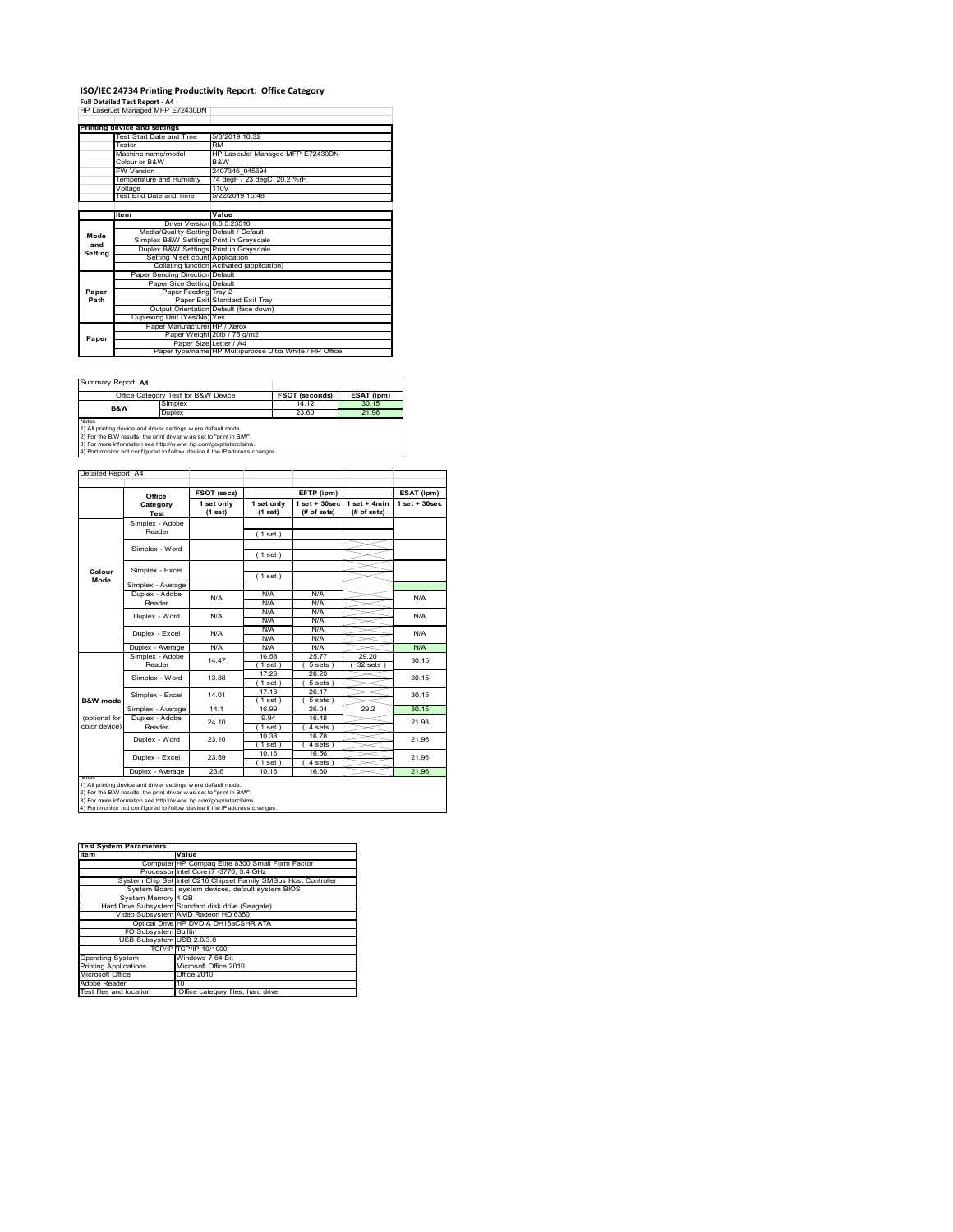## **ISO/IEC 24734 Printing Productivity Report: Office Category**

**Full Detailed Test Report ‐ A4** HP LaserJet Managed MFP E72430DN

|         | . all betailed Test Report - A+         |                                                         |
|---------|-----------------------------------------|---------------------------------------------------------|
|         | HP LaserJet Managed MFP E72430DN        |                                                         |
|         |                                         |                                                         |
|         | Printing device and settings            |                                                         |
|         | Test Start Date and Time                | 5/3/2019 10:32                                          |
|         | Tester                                  | <b>RM</b>                                               |
|         | Machine name/model                      | HP LaserJet Managed MFP E72430DN                        |
|         | Colour or B&W                           | B&W                                                     |
|         | <b>FW Version</b>                       | 2407346 045694                                          |
|         | Temperature and Humidity                | 74 degF / 23 degC 20.2 %rH                              |
|         | Voltage                                 | 110V                                                    |
|         | Test End Date and Time                  | 5/22/2019 15:48                                         |
|         |                                         |                                                         |
|         | <b>Item</b>                             | Value                                                   |
|         | Driver Version 6.6.5.23510              |                                                         |
| Mode    | Media/Quality Setting Default / Default |                                                         |
| and     | Simplex B&W Settings Print in Grayscale |                                                         |
| Setting | Duplex B&W Settings Print in Grayscale  |                                                         |
|         | Setting N set count Application         |                                                         |
|         |                                         | Collating function Activated (application)              |
|         | Paper Sending Direction Default         |                                                         |
|         | Paper Size Setting Default              |                                                         |
| Paper   | Paper Feeding Tray 2                    |                                                         |
| Path    |                                         | Paper Exit Standard Exit Tray                           |
|         |                                         | Output Orientation Default (face down)                  |
|         | Duplexing Unit (Yes/No) Yes             |                                                         |
|         | Paper Manufacturer HP / Xerox           |                                                         |
| Paper   |                                         | Paper Weight 20lb / 75 g/m2                             |
|         | Paper Size Letter / A4                  |                                                         |
|         |                                         | Paper type/name HP Multipurpose Ultra White / HP Office |

Summary Report: **A4**

|                                                                | Office Category Test for B&W Device                               | <b>FSOT (seconds)</b> | ESAT (ipm) |  |  |
|----------------------------------------------------------------|-------------------------------------------------------------------|-----------------------|------------|--|--|
| B&W                                                            | Simplex                                                           | 14 12                 | 30.15      |  |  |
|                                                                | Duplex                                                            | 23.60                 | 21.96      |  |  |
| Notes                                                          |                                                                   |                       |            |  |  |
| 1) All printing device and driver settings w ere default mode. |                                                                   |                       |            |  |  |
|                                                                | 2) For the RAM require the print driver was not to "print in RAA" |                       |            |  |  |

2) For the B/W results, the print driver w as set to "print in B/W".<br>3) For more information see http://w w w .hp.com/go/printerclaims.<br>4) Port monitor not configured to follow device if the IP address changes.

|                | Office            | FSOT (secs)             |                       | EFTP (ipm)                       |                               | ESAT (ipm)        |
|----------------|-------------------|-------------------------|-----------------------|----------------------------------|-------------------------------|-------------------|
|                | Category<br>Test  | 1 set only<br>$(1$ set) | 1 set only<br>(1 set) | $1$ set $+30$ sec<br>(# of sets) | $1$ set + 4min<br>(# of sets) | $1$ set $+30$ sec |
|                | Simplex - Adobe   |                         |                       |                                  |                               |                   |
|                | Reader            |                         | (1 set)               |                                  |                               |                   |
|                | Simplex - Word    |                         |                       |                                  |                               |                   |
|                |                   |                         | (1 set)               |                                  |                               |                   |
|                | Simplex - Excel   |                         |                       |                                  |                               |                   |
| Colour<br>Mode |                   |                         | (1 set)               |                                  |                               |                   |
|                | Simplex - Average |                         |                       |                                  |                               |                   |
|                | Duplex - Adobe    | N/A                     | N/A                   | N/A                              |                               | N/A               |
|                | Reader            |                         | N/A                   | N/A                              |                               |                   |
|                | Duplex - Word     | N/A                     | N/A                   | N/A                              |                               | N/A               |
|                |                   |                         | N/A                   | N/A                              |                               |                   |
|                | Duplex - Excel    | N/A                     | N/A                   | N/A                              |                               | N/A               |
|                |                   |                         | N/A                   | N/A                              |                               |                   |
|                | Duplex - Average  | N/A                     | N/A                   | N/A                              |                               | N/A               |
|                | Simplex - Adobe   | 14.47                   | 16.58                 | 2577                             | 29.20                         | 30.15             |
|                | Reader            |                         | $1$ set)              | 5 sets)                          | 32 sets                       |                   |
|                |                   | 13.88                   | 17.28                 | 26.20                            |                               | 30 15             |
|                | Simplex - Word    |                         | (1 set)               | 5 sets)                          |                               |                   |
|                |                   | 14 01                   | 17.13                 | 26 17                            |                               | 30.15             |
| B&W mode       | Simplex - Excel   |                         | $1$ set)              | 5 sets 1                         |                               |                   |
|                | Simplex - Average | 14.1                    | 16.99                 | 26.04                            | 29.2                          | 30.15             |
| (optional for  | Duplex - Adobe    | 24 10                   | 9.94                  | 16.48                            |                               | 21.98             |
| color device)  | Reader            |                         | $1$ set)              | 4 sets)                          |                               |                   |
|                | Duplex - Word     | 23.10                   | 10.38                 | 16.78                            |                               | 21.96             |
|                |                   |                         | (1 set)               | 4 sets                           |                               |                   |
|                | Duplex - Excel    | 23.59                   | 10 16                 | 16.56                            |                               | 21.96             |
|                |                   |                         | (1 set)               | $4 sets$ )                       |                               |                   |
|                | Duplex - Average  | 23.6                    | 10.16                 | 16.60                            |                               | 21.96             |

| <b>Test System Parameters</b> |                                                                 |  |  |
|-------------------------------|-----------------------------------------------------------------|--|--|
| <b>Item</b>                   | Value                                                           |  |  |
|                               | Computer HP Compaq Elite 8300 Small Form Factor                 |  |  |
|                               | Processor Intel Core i7 -3770, 3.4 GHz                          |  |  |
|                               | System Chip Set Intel C216 Chipset Family SMBus Host Controller |  |  |
|                               | System Board system devices, default system BIOS                |  |  |
| System Memory 4 GB            |                                                                 |  |  |
|                               | Hard Drive Subsystem Standard disk drive (Seagate)              |  |  |
|                               | Video Subsystem AMD Radeon HD 6350                              |  |  |
|                               | Optical Drive HP DVD A DH16aCSHR ATA                            |  |  |
| I/O Subsystem Builtin         |                                                                 |  |  |
| USB Subsystem USB 2.0/3.0     |                                                                 |  |  |
|                               | TCP/IP TCP/IP 10/1000                                           |  |  |
| <b>Operating System</b>       | Windows 7 64 Bit                                                |  |  |
| <b>Printing Applications</b>  | Microsoft Office 2010                                           |  |  |
| Microsoft Office              | Office 2010                                                     |  |  |
| Adobe Reader                  | 10                                                              |  |  |
| Test files and location       | Office category files, hard drive                               |  |  |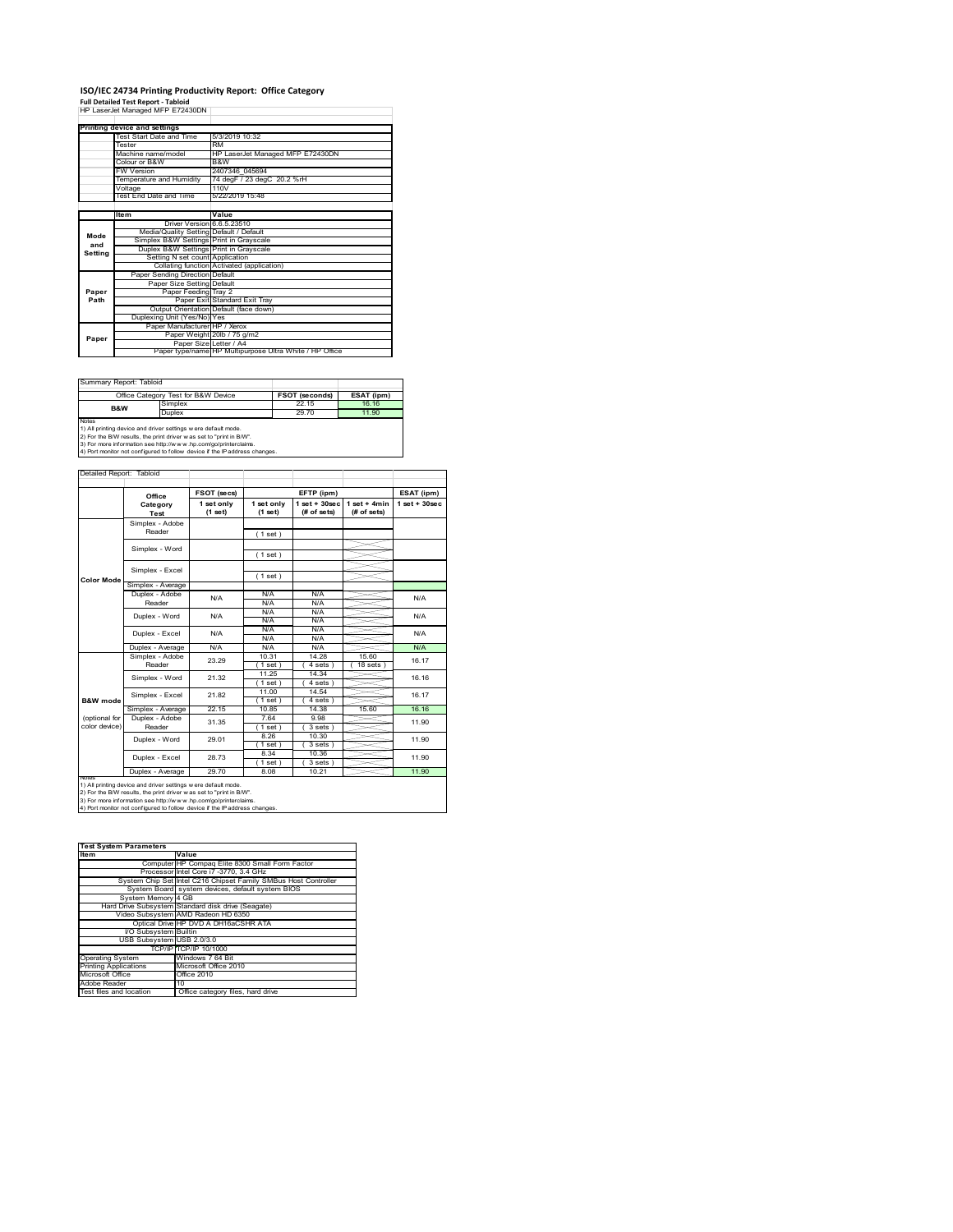# **ISO/IEC 24734 Printing Productivity Report: Office Category<br>Full Detailed Test Report - Tabloid<br>HP LaserJet Managed MFP E72430DN |**

| HP LaserJet Managed MFP E72430DN |                                         |                                                         |  |
|----------------------------------|-----------------------------------------|---------------------------------------------------------|--|
|                                  |                                         |                                                         |  |
|                                  | Printing device and settings            |                                                         |  |
|                                  | Test Start Date and Time                | 5/3/2019 10:32                                          |  |
|                                  | Tester                                  | <b>RM</b>                                               |  |
|                                  | Machine name/model                      | HP LaserJet Managed MFP E72430DN                        |  |
|                                  | Colour or B&W                           | B&W                                                     |  |
|                                  | <b>FW Version</b>                       | 2407346 045694                                          |  |
|                                  | Temperature and Humidity                | 74 degF / 23 degC 20.2 %rH                              |  |
|                                  | Voltage                                 | 110V                                                    |  |
|                                  | Test End Date and Time                  | 5/22/2019 15:48                                         |  |
|                                  |                                         |                                                         |  |
|                                  | <b>Item</b>                             | Value                                                   |  |
|                                  | Driver Version 6.6.5.23510              |                                                         |  |
| Mode                             | Media/Quality Setting Default / Default |                                                         |  |
| and                              | Simplex B&W Settings Print in Grayscale |                                                         |  |
| Setting                          | Duplex B&W Settings Print in Grayscale  |                                                         |  |
|                                  | Setting N set count Application         |                                                         |  |
|                                  |                                         | Collating function Activated (application)              |  |
|                                  | Paper Sending Direction Default         |                                                         |  |
|                                  | Paper Size Setting Default              |                                                         |  |
| Paper                            | Paper Feeding Tray 2                    |                                                         |  |
| Path                             |                                         | Paper Exit Standard Exit Tray                           |  |
|                                  |                                         | Output Orientation Default (face down)                  |  |
|                                  | Duplexing Unit (Yes/No) Yes             |                                                         |  |
|                                  | Paper Manufacturer HP / Xerox           |                                                         |  |
| Paper                            |                                         | Paper Weight 20lb / 75 g/m2                             |  |
|                                  | Paper Size Letter / A4                  |                                                         |  |
|                                  |                                         | Paper type/name HP Multipurpose Ultra White / HP Office |  |

Summary Report: Tabloid

|                                                                   | Office Category Test for B&W Device | <b>FSOT (seconds)</b> | ESAT (ipm) |  |  |
|-------------------------------------------------------------------|-------------------------------------|-----------------------|------------|--|--|
| B&W                                                               | Simplex                             | 22 15                 | 16 16      |  |  |
|                                                                   | Duplex                              | 29.70                 | 11.90      |  |  |
| <b>Notes</b>                                                      |                                     |                       |            |  |  |
| 1) All printing device and driver settings w ere default mode.    |                                     |                       |            |  |  |
| 2) For the BAV results the print driver was set to "print in BAV" |                                     |                       |            |  |  |

2) For the B/W results, the print driver w as set to "print in B/W".<br>3) For more information see http://w w w .hp.com/go/printerclaims.<br>4) Port monitor not configured to follow device if the IP address changes.

Detailed Report: Tabloid T ┱

|                     | Office            | FSOT (secs) |             | EFTP (ipm)        |                | ESAT (ipm)         |
|---------------------|-------------------|-------------|-------------|-------------------|----------------|--------------------|
|                     | Category          | 1 set only  | 1 set only  | $1$ set $+30$ sec | $1$ set + 4min | $1$ set + $30$ sec |
|                     | Test              | (1 set)     | (1 set)     | (# of sets)       | (# of sets)    |                    |
|                     | Simplex - Adobe   |             |             |                   |                |                    |
|                     | Reader            |             | (1 set)     |                   |                |                    |
|                     | Simplex - Word    |             |             |                   |                |                    |
|                     |                   |             | (1 set)     |                   |                |                    |
|                     | Simplex - Excel   |             |             |                   |                |                    |
| <b>Color Mode</b>   |                   |             | (1 set)     |                   |                |                    |
|                     | Simplex - Average |             |             |                   |                |                    |
|                     | Duplex - Adobe    | N/A         | N/A         | N/A               |                | N/A                |
|                     | Reader            |             | N/A         | N/A               |                |                    |
|                     | Duplex - Word     | N/A         | N/A         | N/A               |                | N/A                |
|                     |                   |             | N/A         | N/A               |                |                    |
|                     | Duplex - Excel    | N/A         | N/A         | N/A               |                | N/A                |
|                     |                   |             | N/A         | N/A               |                |                    |
|                     | Duplex - Average  | N/A         | N/A         | N/A               |                | N/A                |
|                     | Simplex - Adobe   | 23.29       | 10.31       | 14.28             | 15.60          | 16.17              |
|                     | Reader            |             | $1$ set $)$ | 4 sets 1          | $18$ sets $1$  |                    |
|                     | Simplex - Word    | 21.32       | 11 25       | 14 34             |                | 16.16              |
|                     |                   |             | $1$ set)    | 4 sets)           |                |                    |
|                     | Simplex - Excel   | 21.82       | 11.00       | 14.54             |                | 16.17              |
| <b>B&amp;W</b> mode |                   |             | $1$ set)    | $4 sets$ )        |                |                    |
|                     | Simplex - Average | 22.15       | 10.85       | 14.38             | 15.60          | 16.16              |
| (optional for       | Duplex - Adobe    | 31.35       | 7.64        | 9.98              |                | 11.90              |
| color device)       | Reader            |             | $1$ set)    | 3 sets)           |                |                    |
|                     | Duplex - Word     | 29.01       | 8.26        | 10.30             |                | 11.90              |
|                     |                   |             | $1$ set)    | 3 sets)           |                |                    |
|                     | Duplex - Excel    | 28.73       | 8.34        | 10.36             |                | 11.90              |
|                     |                   |             | $1$ set)    | 3 sets            |                |                    |
|                     | Duplex - Average  | 29.70       | 8.08        | 10.21             |                | 11.90              |

| <b>Test System Parameters</b> |                                                                 |  |  |  |
|-------------------------------|-----------------------------------------------------------------|--|--|--|
| <b>Item</b>                   | Value                                                           |  |  |  |
|                               | Computer HP Compaq Elite 8300 Small Form Factor                 |  |  |  |
|                               | Processor Intel Core i7 -3770, 3.4 GHz                          |  |  |  |
|                               | System Chip Set Intel C216 Chipset Family SMBus Host Controller |  |  |  |
|                               | System Board system devices, default system BIOS                |  |  |  |
| System Memory 4 GB            |                                                                 |  |  |  |
|                               | Hard Drive Subsystem Standard disk drive (Seagate)              |  |  |  |
|                               | Video Subsystem AMD Radeon HD 6350                              |  |  |  |
|                               | Optical Drive HP DVD A DH16aCSHR ATA                            |  |  |  |
| I/O Subsystem Builtin         |                                                                 |  |  |  |
| USB Subsystem USB 2.0/3.0     |                                                                 |  |  |  |
|                               | TCP/IP TCP/IP 10/1000                                           |  |  |  |
| <b>Operating System</b>       | Windows 7 64 Bit                                                |  |  |  |
| <b>Printing Applications</b>  | Microsoft Office 2010                                           |  |  |  |
| Microsoft Office              | Office 2010                                                     |  |  |  |
| Adobe Reader                  | 10                                                              |  |  |  |
| Test files and location       | Office category files, hard drive                               |  |  |  |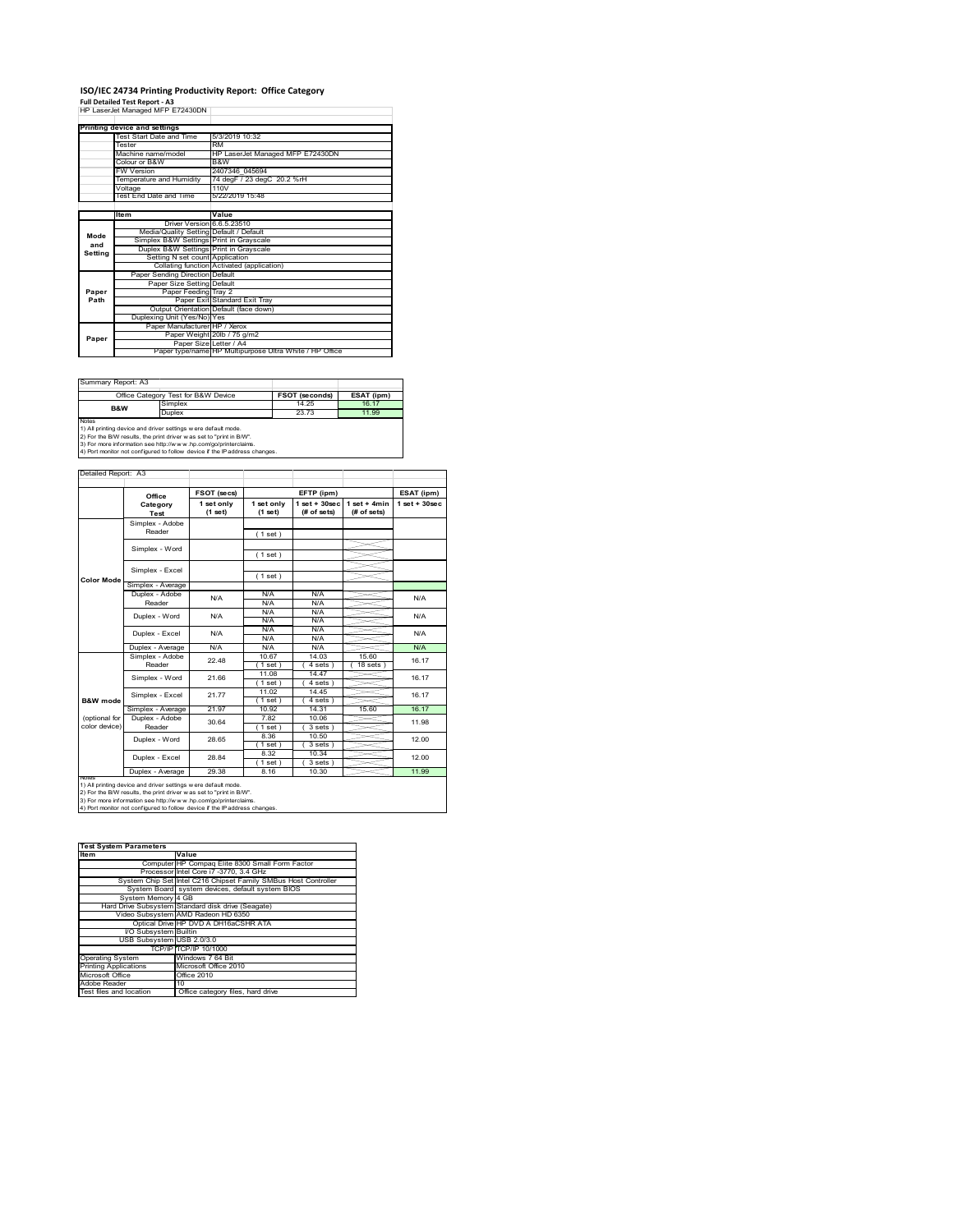### **ISO/IEC 24734 Printing Productivity Report: Office Category Full Detailed Test Report ‐ A3** HP LaserJet Managed MFP E72430DN

|         | Printing device and settings            |                                                         |
|---------|-----------------------------------------|---------------------------------------------------------|
|         | Test Start Date and Time                | 5/3/2019 10:32                                          |
|         | Tester                                  | <b>RM</b>                                               |
|         | Machine name/model                      | HP LaserJet Managed MFP E72430DN                        |
|         | Colour or B&W                           | B&W                                                     |
|         | <b>FW Version</b>                       | 2407346 045694                                          |
|         | Temperature and Humidity                | 74 degF / 23 degC 20.2 %rH                              |
|         | Voltage                                 | 110V                                                    |
|         | Test End Date and Time                  | 5/22/2019 15:48                                         |
|         |                                         |                                                         |
|         | Item                                    | Value                                                   |
|         | Driver Version 6.6.5.23510              |                                                         |
| Mode    | Media/Quality Setting Default / Default |                                                         |
| and     | Simplex B&W Settings Print in Grayscale |                                                         |
| Setting | Duplex B&W Settings Print in Grayscale  |                                                         |
|         | Setting N set count Application         |                                                         |
|         |                                         | Collating function Activated (application)              |
|         | Paper Sending Direction Default         |                                                         |
|         | Paper Size Setting Default              |                                                         |
| Paper   | Paper Feeding Tray 2                    |                                                         |
| Path    |                                         | Paper Exit Standard Exit Tray                           |
|         |                                         | Output Orientation Default (face down)                  |
|         | Duplexing Unit (Yes/No) Yes             |                                                         |
|         | Paper Manufacturer HP / Xerox           |                                                         |
| Paper   |                                         | Paper Weight 20lb / 75 g/m2                             |
|         | Paper Size Letter / A4                  |                                                         |
|         |                                         | Paper type/name HP Multipurpose Ultra White / HP Office |

Ĩ.

Summary Report: A3

|                                                                | Office Category Test for B&W Device                               | <b>FSOT (seconds)</b> | ESAT (ipm) |  |  |  |
|----------------------------------------------------------------|-------------------------------------------------------------------|-----------------------|------------|--|--|--|
| B&W                                                            | Simplex                                                           | 14 25                 | 16.17      |  |  |  |
|                                                                | Duplex                                                            | 23.73                 | 11.99      |  |  |  |
| Notes                                                          |                                                                   |                       |            |  |  |  |
| 1) All printing device and driver settings w ere default mode. |                                                                   |                       |            |  |  |  |
|                                                                | 2) For the RAM require the print driver was not to "print in RAA" |                       |            |  |  |  |

2) For the B/W results, the print driver w as set to "print in B/W".<br>3) For more information see http://w w w .hp.com/go/printerclaims.<br>4) Port monitor not configured to follow device if the IP address changes.

|                     | Office                    | FSOT (secs)<br>EFTP (ipm) |                         | ESAT (ipm)                       |                               |                   |
|---------------------|---------------------------|---------------------------|-------------------------|----------------------------------|-------------------------------|-------------------|
|                     | Category<br>Test          | 1 set only<br>$(1$ set)   | 1 set only<br>$(1$ set) | $1$ set $+30$ sec<br>(# of sets) | $1$ set + 4min<br>(# of sets) | $1$ set $+30$ sec |
|                     | Simplex - Adobe           |                           |                         |                                  |                               |                   |
|                     | Reader                    |                           | (1 set)                 |                                  |                               |                   |
|                     | Simplex - Word            |                           |                         |                                  |                               |                   |
|                     |                           |                           | (1 set)                 |                                  |                               |                   |
|                     | Simplex - Excel           |                           |                         |                                  |                               |                   |
| <b>Color Mode</b>   |                           |                           | (1 set)                 |                                  |                               |                   |
|                     | Simplex - Average         |                           |                         |                                  |                               |                   |
|                     | Duplex - Adobe<br>Reader  | N/A                       | N/A                     | N/A                              |                               | N/A               |
|                     |                           |                           | N/A                     | N/A                              |                               |                   |
|                     | Duplex - Word             | N/A                       | N/A                     | N/A                              |                               | N/A               |
|                     |                           |                           | N/A                     | N/A                              |                               |                   |
|                     | Duplex - Excel            | N/A                       | N/A                     | N/A                              |                               | N/A               |
|                     |                           |                           | N/A                     | N/A                              |                               |                   |
|                     | Duplex - Average          | N/A                       | N/A                     | N/A                              |                               | N/A               |
|                     | Simplex - Adobe<br>Reader | 22.48                     | 10.67                   | 14.03                            | 15.60                         | 16.17             |
|                     |                           |                           | (1 set)                 | 4 sets 1                         | $18$ sets $1$                 |                   |
|                     | Simplex - Word            | 21.66                     | 11.08                   | 14.47                            |                               | 16.17             |
|                     |                           |                           | (1 set)                 | 4 sets)                          |                               |                   |
|                     | Simplex - Excel           | 21.77                     | 11.02                   | 14 45                            |                               | 16.17             |
| <b>B&amp;W</b> mode |                           |                           | 1 set                   | 4 sets                           |                               |                   |
|                     | Simplex - Average         | 21.97                     | 10.92                   | 14.31                            | 15.60                         | 16.17             |
| (optional for       | Duplex - Adobe            | 30.64                     | 7.82                    | 10.06                            |                               | 11.98             |
| color device)       | Reader                    |                           | $'1$ set)               | $3 sets$ )                       |                               |                   |
|                     | Duplex - Word             | 28.65                     | 8.36                    | 10.50                            |                               | 12.00             |
|                     |                           |                           | (1 set)                 | 3 sets)                          |                               |                   |
|                     | Duplex - Excel            | 28.84                     | 8.32                    | 10.34                            |                               | 12.00             |
|                     |                           |                           | $1$ set)                | 3 sets)                          |                               |                   |
|                     | Duplex - Average          | 29.38                     | 8.16                    | 10.30                            |                               | 11.99             |

| <b>Test System Parameters</b> |                                                                 |  |  |
|-------------------------------|-----------------------------------------------------------------|--|--|
| <b>Item</b>                   | Value                                                           |  |  |
|                               | Computer HP Compaq Elite 8300 Small Form Factor                 |  |  |
|                               | Processor Intel Core i7 -3770, 3.4 GHz                          |  |  |
|                               | System Chip Set Intel C216 Chipset Family SMBus Host Controller |  |  |
|                               | System Board system devices, default system BIOS                |  |  |
| System Memory 4 GB            |                                                                 |  |  |
|                               | Hard Drive Subsystem Standard disk drive (Seagate)              |  |  |
|                               | Video Subsystem AMD Radeon HD 6350                              |  |  |
|                               | Optical Drive HP DVD A DH16aCSHR ATA                            |  |  |
| I/O Subsystem Builtin         |                                                                 |  |  |
| USB Subsystem USB 2.0/3.0     |                                                                 |  |  |
|                               | TCP/IP TCP/IP 10/1000                                           |  |  |
| <b>Operating System</b>       | Windows 7 64 Bit                                                |  |  |
| <b>Printing Applications</b>  | Microsoft Office 2010                                           |  |  |
| Microsoft Office              | Office 2010                                                     |  |  |
| Adobe Reader                  | 10                                                              |  |  |
| Test files and location       | Office category files, hard drive                               |  |  |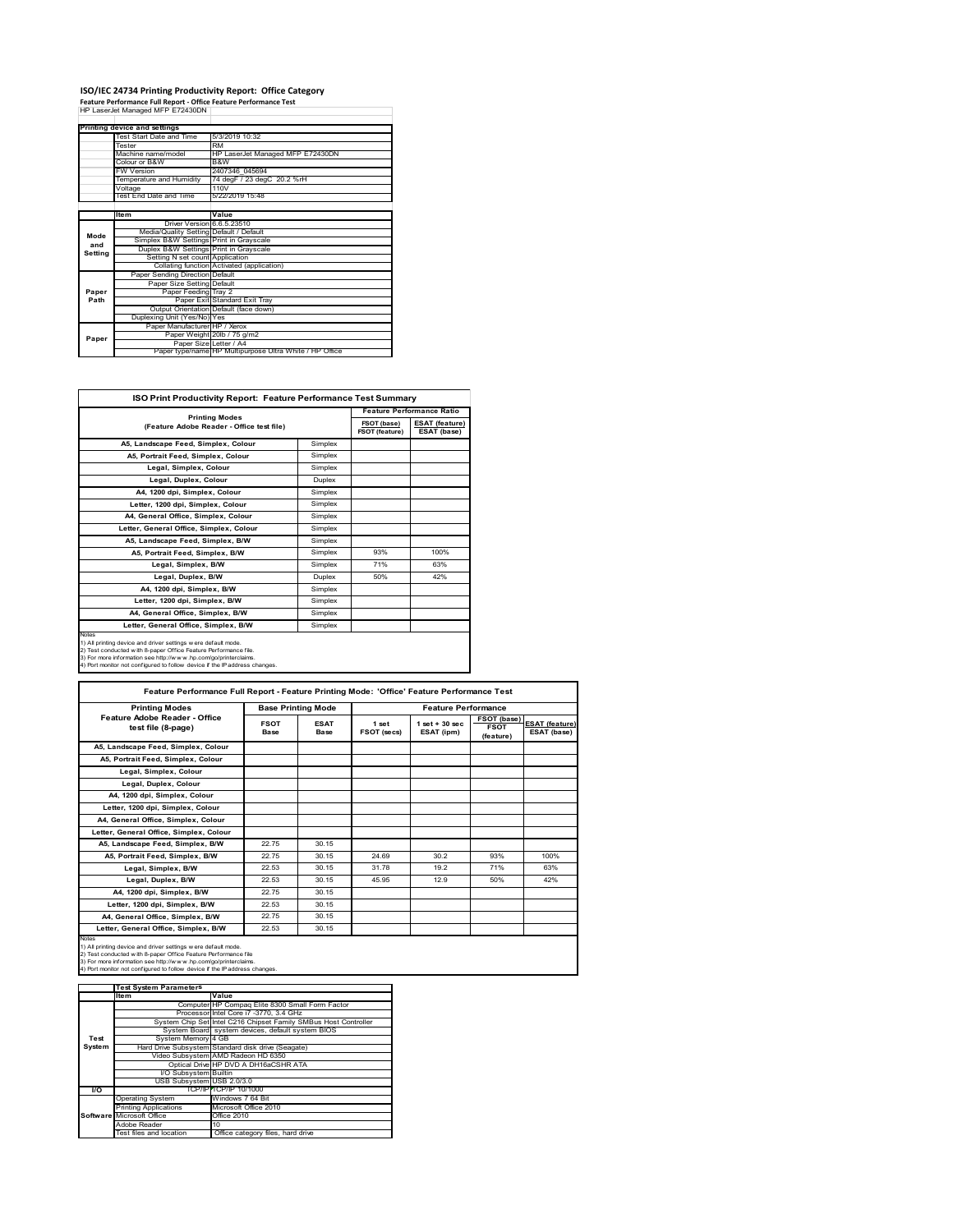# **ISO/IEC 24734 Printing Productivity Report: Office Category<br>Feature Performance Full Report - Office Feature Performance Test<br>HP LaserJet Managed MFP E72430DN |**

|         | . cature remonmance run neport - onnee reature remonmance rest |                                                         |
|---------|----------------------------------------------------------------|---------------------------------------------------------|
|         | HP LaserJet Managed MFP E72430DN                               |                                                         |
|         |                                                                |                                                         |
|         | Printing device and settings                                   |                                                         |
|         | Test Start Date and Time                                       | 5/3/2019 10:32                                          |
|         | Tester                                                         | <b>RM</b>                                               |
|         | Machine name/model                                             | HP LaserJet Managed MFP E72430DN                        |
|         | Colour or B&W                                                  | B&W                                                     |
|         | <b>FW Version</b>                                              | 2407346 045694                                          |
|         | Temperature and Humidity                                       | 74 degF / 23 degC 20.2 %rH                              |
|         | Voltage                                                        | 110V                                                    |
|         | Test End Date and Time                                         | 5/22/2019 15:48                                         |
|         |                                                                |                                                         |
|         | Item                                                           | Value                                                   |
|         | Driver Version 6.6.5.23510                                     |                                                         |
| Mode    | Media/Quality Setting Default / Default                        |                                                         |
| and     | Simplex B&W Settings Print in Grayscale                        |                                                         |
| Setting | Duplex B&W Settings Print in Grayscale                         |                                                         |
|         | Setting N set count Application                                |                                                         |
|         |                                                                | Collating function Activated (application)              |
|         | Paper Sending Direction Default                                |                                                         |
|         | Paper Size Setting Default                                     |                                                         |
| Paper   | Paper Feeding Tray 2                                           |                                                         |
| Path    |                                                                | Paper Exit Standard Exit Tray                           |
|         |                                                                | Output Orientation Default (face down)                  |
|         | Duplexing Unit (Yes/No) Yes                                    |                                                         |
|         | Paper Manufacturer HP / Xerox                                  |                                                         |
| Paper   |                                                                | Paper Weight 20lb / 75 g/m2                             |
|         | Paper Size Letter / A4                                         |                                                         |
|         |                                                                | Paper type/name HP Multipurpose Ultra White / HP Office |

| <b>ISO Print Productivity Report: Feature Performance Test Summary</b>                                                                                                                                                                                                                      |               |                                      |                                      |  |
|---------------------------------------------------------------------------------------------------------------------------------------------------------------------------------------------------------------------------------------------------------------------------------------------|---------------|--------------------------------------|--------------------------------------|--|
| <b>Printing Modes</b>                                                                                                                                                                                                                                                                       |               | <b>Feature Performance Ratio</b>     |                                      |  |
| (Feature Adobe Reader - Office test file)                                                                                                                                                                                                                                                   |               | FSOT (base)<br><b>FSOT (feature)</b> | <b>ESAT (feature)</b><br>ESAT (base) |  |
| A5, Landscape Feed, Simplex, Colour                                                                                                                                                                                                                                                         | Simplex       |                                      |                                      |  |
| A5, Portrait Feed, Simplex, Colour                                                                                                                                                                                                                                                          | Simplex       |                                      |                                      |  |
| Legal, Simplex, Colour                                                                                                                                                                                                                                                                      | Simplex       |                                      |                                      |  |
| Legal, Duplex, Colour                                                                                                                                                                                                                                                                       | <b>Duplex</b> |                                      |                                      |  |
| A4, 1200 dpi, Simplex, Colour                                                                                                                                                                                                                                                               | Simplex       |                                      |                                      |  |
| Letter, 1200 dpi, Simplex, Colour                                                                                                                                                                                                                                                           | Simplex       |                                      |                                      |  |
| A4. General Office. Simplex. Colour                                                                                                                                                                                                                                                         | Simplex       |                                      |                                      |  |
| Letter, General Office, Simplex, Colour                                                                                                                                                                                                                                                     | Simplex       |                                      |                                      |  |
| A5. Landscape Feed. Simplex. B/W                                                                                                                                                                                                                                                            | Simplex       |                                      |                                      |  |
| A5, Portrait Feed, Simplex, B/W                                                                                                                                                                                                                                                             | Simplex       | 93%                                  | 100%                                 |  |
| Legal, Simplex, B/W                                                                                                                                                                                                                                                                         | Simplex       | 71%                                  | 63%                                  |  |
| Legal, Duplex, B/W                                                                                                                                                                                                                                                                          | <b>Duplex</b> | 50%                                  | 42%                                  |  |
| A4. 1200 dpi. Simplex, B/W                                                                                                                                                                                                                                                                  | Simplex       |                                      |                                      |  |
| Letter, 1200 dpi, Simplex, B/W                                                                                                                                                                                                                                                              | Simplex       |                                      |                                      |  |
| A4, General Office, Simplex, B/W                                                                                                                                                                                                                                                            | Simplex       |                                      |                                      |  |
| Letter, General Office, Simplex, B/W                                                                                                                                                                                                                                                        | Simplex       |                                      |                                      |  |
| Notes<br>1) All printing device and driver settings w ere default mode.<br>2) Test conducted with 8-paper Office Feature Performance file.<br>3) For more information see http://www.hp.com/go/printerclaims.<br>4) Port monitor not configured to follow device if the IP address changes. |               |                                      |                                      |  |

| Feature Performance Full Report - Feature Printing Mode: 'Office' Feature Performance Test                                                                                                                                                                                                 |                     |                           |                      |                                  |                                                |                                      |
|--------------------------------------------------------------------------------------------------------------------------------------------------------------------------------------------------------------------------------------------------------------------------------------------|---------------------|---------------------------|----------------------|----------------------------------|------------------------------------------------|--------------------------------------|
| <b>Printing Modes</b>                                                                                                                                                                                                                                                                      |                     | <b>Base Printing Mode</b> |                      | <b>Feature Performance</b>       |                                                |                                      |
| Feature Adobe Reader - Office<br>test file (8-page)                                                                                                                                                                                                                                        | <b>FSOT</b><br>Base | <b>ESAT</b><br>Base       | 1 set<br>FSOT (secs) | $1$ set $+30$ sec.<br>ESAT (ipm) | <b>FSOT (base)</b><br><b>FSOT</b><br>(feature) | <b>ESAT (feature)</b><br>ESAT (base) |
| A5, Landscape Feed, Simplex, Colour                                                                                                                                                                                                                                                        |                     |                           |                      |                                  |                                                |                                      |
| A5. Portrait Feed. Simplex. Colour                                                                                                                                                                                                                                                         |                     |                           |                      |                                  |                                                |                                      |
| Legal, Simplex, Colour                                                                                                                                                                                                                                                                     |                     |                           |                      |                                  |                                                |                                      |
| Legal, Duplex, Colour                                                                                                                                                                                                                                                                      |                     |                           |                      |                                  |                                                |                                      |
| A4, 1200 dpi, Simplex, Colour                                                                                                                                                                                                                                                              |                     |                           |                      |                                  |                                                |                                      |
| Letter, 1200 dpi, Simplex, Colour                                                                                                                                                                                                                                                          |                     |                           |                      |                                  |                                                |                                      |
| A4, General Office, Simplex, Colour                                                                                                                                                                                                                                                        |                     |                           |                      |                                  |                                                |                                      |
| Letter, General Office, Simplex, Colour                                                                                                                                                                                                                                                    |                     |                           |                      |                                  |                                                |                                      |
| A5, Landscape Feed, Simplex, B/W                                                                                                                                                                                                                                                           | 22.75               | 30.15                     |                      |                                  |                                                |                                      |
| A5, Portrait Feed, Simplex, B/W                                                                                                                                                                                                                                                            | 2275                | 30.15                     | 24 69                | 30.2                             | 93%                                            | 100%                                 |
| Legal, Simplex, B/W                                                                                                                                                                                                                                                                        | 22.53               | 30.15                     | 31 78                | 19.2                             | 71%                                            | 63%                                  |
| Legal, Duplex, B/W                                                                                                                                                                                                                                                                         | 22.53               | 30.15                     | 45.95                | 12.9                             | 50%                                            | 42%                                  |
| A4, 1200 dpi, Simplex, B/W                                                                                                                                                                                                                                                                 | 22.75               | 30.15                     |                      |                                  |                                                |                                      |
| Letter, 1200 dpi, Simplex, B/W                                                                                                                                                                                                                                                             | 22.53               | 30.15                     |                      |                                  |                                                |                                      |
| A4. General Office. Simplex. B/W                                                                                                                                                                                                                                                           | 22.75               | 30.15                     |                      |                                  |                                                |                                      |
| Letter, General Office, Simplex, B/W                                                                                                                                                                                                                                                       | 22.53               | 30.15                     |                      |                                  |                                                |                                      |
| Notes<br>1) All printing device and driver settings w ere default mode.<br>2) Test conducted with 8-paper Office Feature Performance file<br>3) For more information see http://www.hp.com/go/printerclaims.<br>4) Port monitor not configured to follow device if the IP address changes. |                     |                           |                      |                                  |                                                |                                      |

|        | <b>Test System Parameters</b> |                                                                 |
|--------|-------------------------------|-----------------------------------------------------------------|
|        | Item                          | Value                                                           |
|        |                               | Computer HP Compaq Elite 8300 Small Form Factor                 |
|        |                               | Processor Intel Core i7 -3770, 3.4 GHz                          |
|        |                               | System Chip Set Intel C216 Chipset Family SMBus Host Controller |
|        |                               | System Board system devices, default system BIOS                |
| Test   | System Memory 4 GB            |                                                                 |
| System |                               | Hard Drive Subsystem Standard disk drive (Seagate)              |
|        |                               | Video Subsystem AMD Radeon HD 6350                              |
|        |                               | Optical Drive HP DVD A DH16aCSHR ATA                            |
|        | I/O Subsystem Builtin         |                                                                 |
|        | USB Subsystem USB 2.0/3.0     |                                                                 |
| VO.    |                               | TCP/IP TCP/IP 10/1000                                           |
|        | <b>Operating System</b>       | Windows 7 64 Bit                                                |
|        | <b>Printing Applications</b>  | Microsoft Office 2010                                           |
|        | Software Microsoft Office     | Office 2010                                                     |
|        | Adobe Reader                  | 10                                                              |
|        | Test files and location       | Office category files, hard drive                               |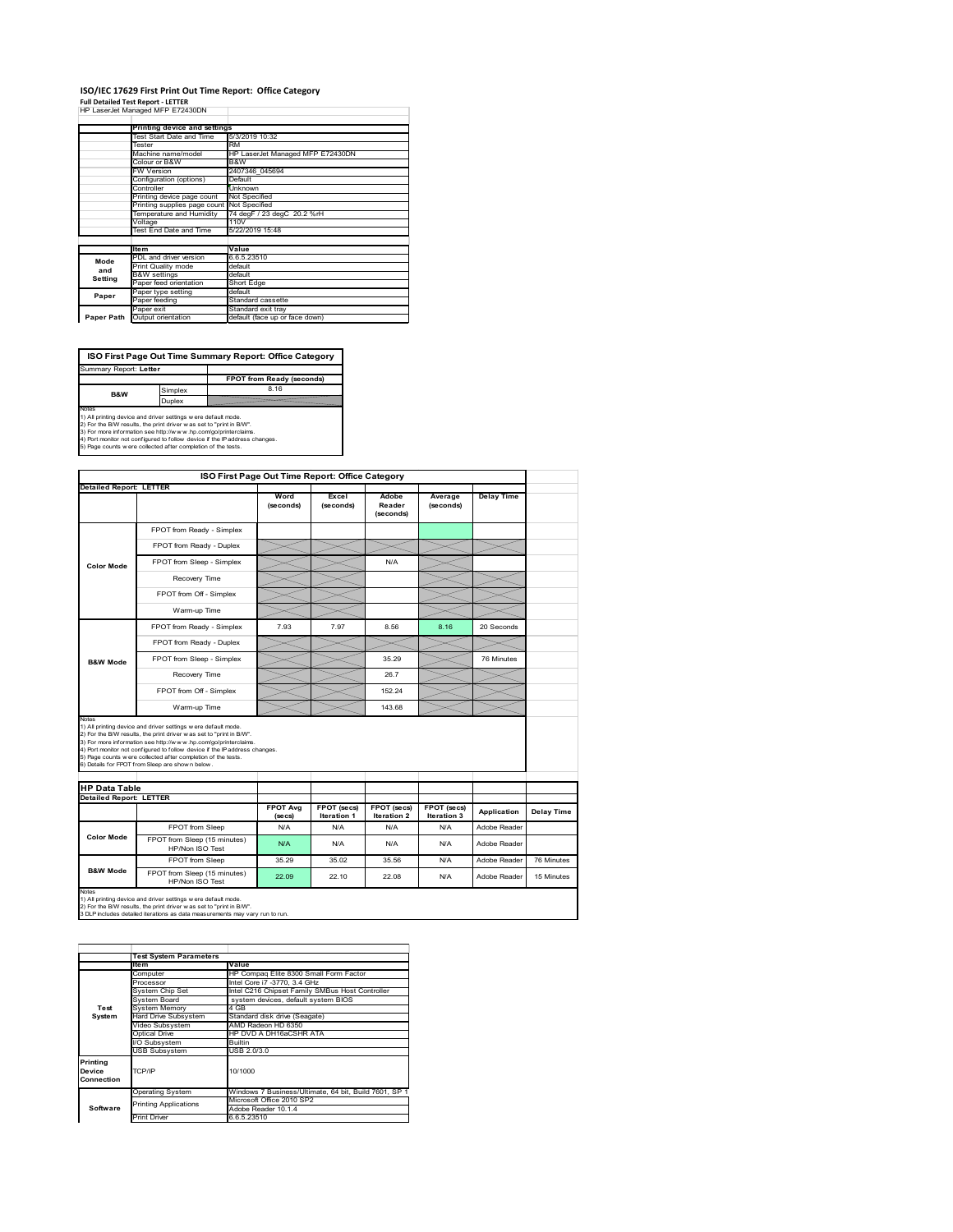### **ISO/IEC 17629 First Print Out Time Report: Office Category Full Detailed Test Report ‐ LETTER** HP LaserJet Managed MFP E72430DN

|            | Printing device and settings               |                                  |
|------------|--------------------------------------------|----------------------------------|
|            | Test Start Date and Time                   | 5/3/2019 10:32                   |
|            | Tester                                     | RM                               |
|            | Machine name/model                         | HP LaserJet Managed MFP E72430DN |
|            | Colour or B&W                              | B&W                              |
|            | <b>FW Version</b>                          | 2407346 045694                   |
|            | Configuration (options)                    | Default                          |
|            | Controller                                 | Unknown                          |
|            | Printing device page count                 | Not Specified                    |
|            | Printing supplies page count Not Specified |                                  |
|            | Temperature and Humidity                   | 74 degF / 23 degC 20.2 %rH       |
|            | Voltage                                    | 110V                             |
|            | Test End Date and Time                     | 5/22/2019 15:48                  |
|            |                                            |                                  |
|            | <b>Item</b>                                | Value                            |
| Mode       | PDL and driver version                     | 6.6.5.23510                      |
| and        | Print Quality mode                         | default                          |
| Setting    | <b>B&amp;W</b> settings                    | default                          |
|            | Paper feed orientation                     | Short Edge                       |
| Paper      | Paper type setting                         | default                          |
|            | Paper feeding                              | Standard cassette                |
|            | Paper exit                                 | Standard exit tray               |
| Paper Path | Output orientation                         | default (face up or face down)   |

**FPOT from Ready (second** implex **ISO First Page Out Time Summary Report: Office Category** Summary Report: **Letter B&W**

Duplex

Notes<br>1) All printing device and driver settings were default mode.<br>2) For the BW results, the print driver was set to "print in BW".<br>3) For more information see http://www.hp.com/golprinterclaims.<br>4) Port montor not confi

**ISO First Page Out Time Report: Office Category Detailed Report: LETTER Excel Word Delay Time Adobe Reader Average (seconds)** (secol **(seconds) (seconds)** FPOT from Ready - Simplex FPOT from Ready - Duplex  $\prec$ FPOT from Sleep - Simplex N/A **Color Mode** Recovery Time FPOT from Off - Simplex  $\times$  $\times$ Warm-up Time  $\prec$  $\overline{\phantom{0}}$  $\prec$ FPOT from Ready - Simplex 7.93 7.97 8.56 8.16 20 Seconds FPOT from Ready - Duplex  $>\!\!<$ FPOT from Sleep - Simplex  $\sim$  35.29 76 Minutes **B&W Mode** Recovery Time  $\sim$  26.7 FPOT from Off - Simplex 152.24 Warm-up Time 143.68 Notes<br>1) All printing device and driver settings were default mode.<br>2) For the BMV results, the print driver was set to "print in BMV".<br>3) For more information see http://www.hp.com/golprinterclaims.<br>4) Port monter not con **HP Data Table Detailed Report: LETTER FPOT Avg FPOT (secs) FPOT (secs) FPOT (secs) Iteration 3 Application Delay Time Iteration 1 (secs) Iteration 2** FPOT from Sleep N/A N/A N/A N/A N/A Adobe Reade **Color Mode** FPOT from Sleep (15 minutes) N/A N/A N/A N/A HP/Non ISO Test N/A N/A Reader FPOT from Sleep 35.29 35.02 35.56 N/A Adobe Reader 76 Minutes **B&W Mode** FPOT from Sleep (15 minutes) Throm Sleep (15 minutes) 22.09 22.10 22.08 N/A Adobe Reader 15 Minutes Notes<br>1) All printing device and driver settings w ere default mode.<br>2) For the B/W results, the print driver w as set to "print in B/W".<br>3 DLP includes detailed iterations as data measurements may vary run to run.

|                                  | <b>Test System Parameters</b> |                                                       |
|----------------------------------|-------------------------------|-------------------------------------------------------|
|                                  | <b>Item</b>                   | Value                                                 |
|                                  | Computer                      | HP Compag Elite 8300 Small Form Factor                |
|                                  | Processor                     | Intel Core i7 -3770, 3.4 GHz                          |
|                                  | System Chip Set               | Intel C216 Chipset Family SMBus Host Controller       |
|                                  | System Board                  | system devices, default system BIOS                   |
| Test                             | <b>System Memory</b>          | 4 GB                                                  |
| System                           | Hard Drive Subsystem          | Standard disk drive (Seagate)                         |
|                                  | Video Subsystem               | AMD Radeon HD 6350                                    |
|                                  | Optical Drive                 | HP DVD A DH16aCSHR ATA                                |
|                                  | I/O Subsystem                 | <b>Builtin</b>                                        |
|                                  | <b>USB Subsystem</b>          | USB 2.0/3.0                                           |
| Printing<br>Device<br>Connection | TCP/IP                        | 10/1000                                               |
|                                  | <b>Operating System</b>       | Windows 7 Business/Ultimate, 64 bit, Build 7601, SP 1 |
|                                  | <b>Printing Applications</b>  | Microsoft Office 2010 SP2                             |
| Software                         |                               | Adobe Reader 10.1.4                                   |
|                                  | <b>Print Driver</b>           | 6.6.5.23510                                           |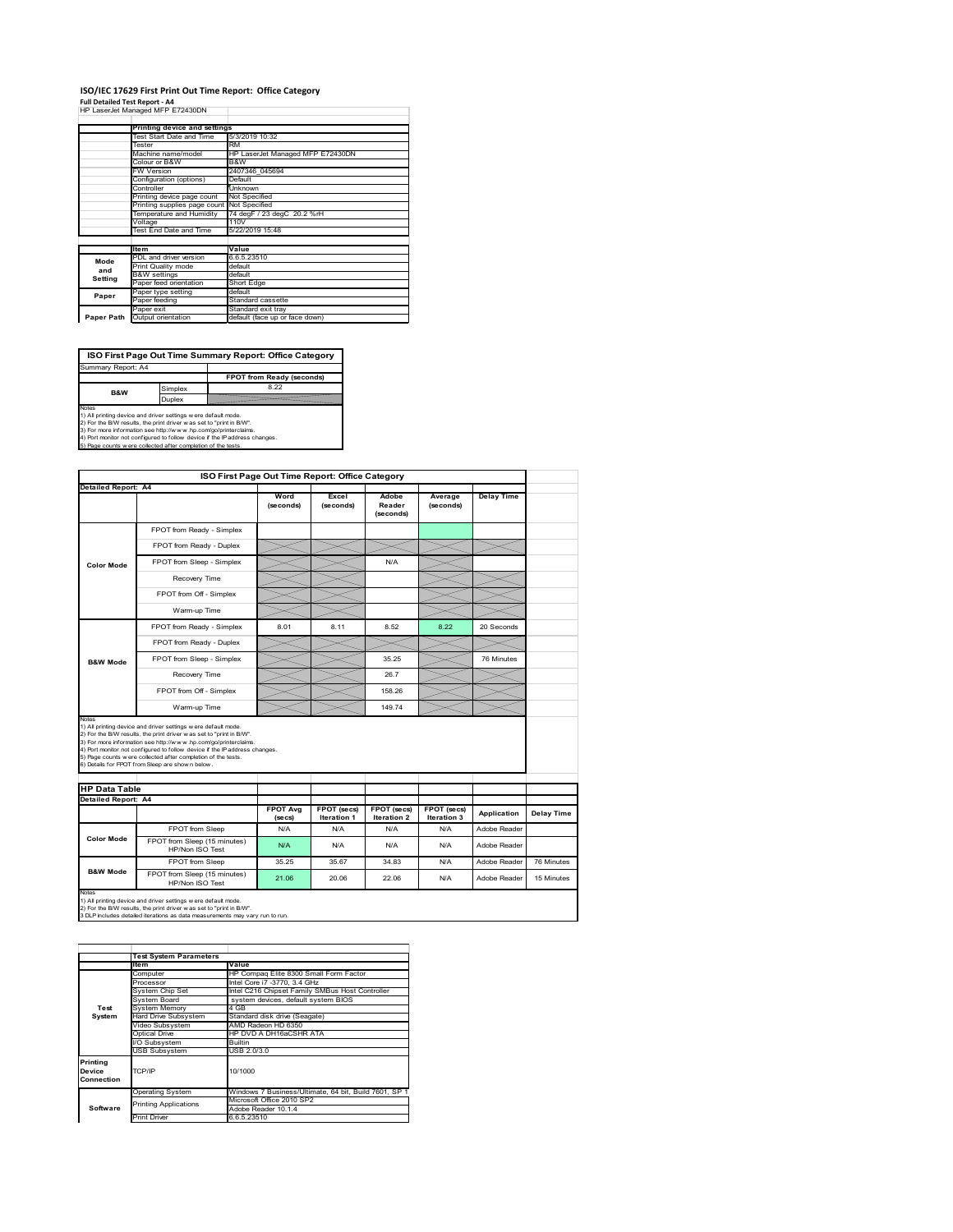#### **ISO/IEC 17629 First Print Out Time Report: Office Category**  $\overline{1}$

| Full Detailed Test Report - A4   |  |  |  |
|----------------------------------|--|--|--|
| HP LaserJet Managed MFP E72430DN |  |  |  |

|            | Printing device and settings |                                  |
|------------|------------------------------|----------------------------------|
|            | Test Start Date and Time     | 5/3/2019 10:32                   |
|            | Tester                       | <b>RM</b>                        |
|            | Machine name/model           | HP LaserJet Managed MFP E72430DN |
|            | Colour or B&W                | B&W                              |
|            | <b>FW Version</b>            | 2407346 045694                   |
|            | Configuration (options)      | Default                          |
|            | Controller                   | Unknown                          |
|            | Printing device page count   | Not Specified                    |
|            | Printing supplies page count | Not Specified                    |
|            | Temperature and Humidity     | 74 degF / 23 degC 20.2 %rH       |
|            | Voltage                      | 110V                             |
|            | Test End Date and Time       | 5/22/2019 15:48                  |
|            |                              |                                  |
|            | <b>Item</b>                  | Value                            |
| Mode       | PDL and driver version       | 6.6.5.23510                      |
| and        | <b>Print Quality mode</b>    | default                          |
| Setting    | <b>B&amp;W</b> settings      | default                          |
|            | Paper feed orientation       | Short Edge                       |
| Paper      | Paper type setting           | default                          |
|            | Paper feeding                | Standard cassette                |
|            | Paper exit                   | Standard exit tray               |
| Paper Path | Output orientation           | default (face up or face down)   |

٦

**ISO First Page Out Time Summary Report: Office Category**

**FPOT from Ready (seconds)** Simplex 8.22 **Duplex** Notes<br>1) All printing device and driver settings were default mode.<br>2) For the BAV results, the print driver was set to "print in BAV".<br>3) For more information see http://www.hp.com/golprinterclaims.<br>4) Port monitor not co Summary Report: A4 **B&W**

|                            |                                                                                                                                                                                                                                                                                                                                                                                                             | ISO First Page Out Time Report: Office Category |                                   |                                          |                                   |                   |            |
|----------------------------|-------------------------------------------------------------------------------------------------------------------------------------------------------------------------------------------------------------------------------------------------------------------------------------------------------------------------------------------------------------------------------------------------------------|-------------------------------------------------|-----------------------------------|------------------------------------------|-----------------------------------|-------------------|------------|
| <b>Detailed Report: A4</b> |                                                                                                                                                                                                                                                                                                                                                                                                             |                                                 |                                   |                                          |                                   |                   |            |
|                            |                                                                                                                                                                                                                                                                                                                                                                                                             | Word<br>(seconds)                               | Excel<br>(seconds)                | Adobe<br>Reader<br>(seconds)             | Average<br>(seconds)              | <b>Delay Time</b> |            |
|                            | FPOT from Ready - Simplex                                                                                                                                                                                                                                                                                                                                                                                   |                                                 |                                   |                                          |                                   |                   |            |
|                            | FPOT from Ready - Duplex                                                                                                                                                                                                                                                                                                                                                                                    |                                                 |                                   |                                          |                                   |                   |            |
| <b>Color Mode</b>          | FPOT from Sleep - Simplex                                                                                                                                                                                                                                                                                                                                                                                   |                                                 |                                   | N/A                                      |                                   |                   |            |
|                            | Recovery Time                                                                                                                                                                                                                                                                                                                                                                                               |                                                 |                                   |                                          |                                   |                   |            |
|                            | FPOT from Off - Simplex                                                                                                                                                                                                                                                                                                                                                                                     |                                                 |                                   |                                          |                                   |                   |            |
|                            | Warm-up Time                                                                                                                                                                                                                                                                                                                                                                                                |                                                 |                                   |                                          |                                   |                   |            |
|                            | FPOT from Ready - Simplex                                                                                                                                                                                                                                                                                                                                                                                   | 8.01                                            | 8.11                              | 8.52                                     | 8.22                              | 20 Seconds        |            |
|                            | FPOT from Ready - Duplex                                                                                                                                                                                                                                                                                                                                                                                    |                                                 |                                   |                                          |                                   |                   |            |
| <b>B&amp;W Mode</b>        | FPOT from Sleep - Simplex                                                                                                                                                                                                                                                                                                                                                                                   |                                                 |                                   | 35.25                                    |                                   | 76 Minutes        |            |
|                            | Recovery Time                                                                                                                                                                                                                                                                                                                                                                                               |                                                 |                                   | 26.7                                     |                                   |                   |            |
|                            |                                                                                                                                                                                                                                                                                                                                                                                                             |                                                 |                                   |                                          |                                   |                   |            |
|                            | FPOT from Off - Simplex                                                                                                                                                                                                                                                                                                                                                                                     |                                                 |                                   | 158.26                                   |                                   |                   |            |
| Notes                      | Warm-up Time                                                                                                                                                                                                                                                                                                                                                                                                |                                                 |                                   | 149.74                                   |                                   |                   |            |
| <b>HP Data Table</b>       | 1) All printing device and driver settings w ere default mode.<br>2) For the B/W results, the print driver was set to "print in B/W".<br>3) For more information see http://www.hp.com/go/printerclaims.<br>4) Port monitor not configured to follow device if the IP address changes.<br>5) Page counts w ere collected after completion of the tests.<br>6) Details for FPOT from Sleep are show n below. |                                                 |                                   |                                          |                                   |                   |            |
| <b>Detailed Report: A4</b> |                                                                                                                                                                                                                                                                                                                                                                                                             |                                                 |                                   |                                          |                                   |                   |            |
|                            |                                                                                                                                                                                                                                                                                                                                                                                                             | <b>FPOT Avg</b><br>(se cs)                      | FPOT (secs)<br><b>Iteration 1</b> | <b>FPOT (secs)</b><br><b>Iteration 2</b> | FPOT (secs)<br><b>Iteration 3</b> | Application       | Delay Time |
|                            | FPOT from Sleep                                                                                                                                                                                                                                                                                                                                                                                             | N/A                                             | N/A                               | N/A                                      | N/A                               | Adobe Reader      |            |
| <b>Color Mode</b>          | FPOT from Sleep (15 minutes)<br>HP/Non ISO Test                                                                                                                                                                                                                                                                                                                                                             | N/A                                             | N/A                               | N/A                                      | N/A                               | Adobe Reader      |            |
| <b>B&amp;W Mode</b>        | FPOT from Sleep                                                                                                                                                                                                                                                                                                                                                                                             | 35.25                                           | 35.67                             | 34.83                                    | N/A                               | Adobe Reader      | 76 Minutes |

1) All printing device and driver settings w ere default mode.<br>2) For the B/W results, the print driver w as set to "print in B/W".<br>3 DLP includes detailed iterations as data measurements may vary run to run.

|                                  | <b>Test System Parameters</b>                         |                                                       |  |  |
|----------------------------------|-------------------------------------------------------|-------------------------------------------------------|--|--|
|                                  | <b>Item</b>                                           | Value                                                 |  |  |
|                                  | Computer                                              | HP Compag Elite 8300 Small Form Factor                |  |  |
|                                  | Processor                                             | Intel Core i7 -3770, 3.4 GHz                          |  |  |
|                                  | System Chip Set                                       | Intel C216 Chipset Family SMBus Host Controller       |  |  |
|                                  | System Board                                          | system devices, default system BIOS                   |  |  |
| Test                             | <b>System Memory</b>                                  | 4 GB                                                  |  |  |
| System                           | Hard Drive Subsystem<br>Standard disk drive (Seagate) |                                                       |  |  |
|                                  | Video Subsystem                                       | AMD Radeon HD 6350                                    |  |  |
|                                  | Optical Drive                                         | HP DVD A DH16aCSHR ATA                                |  |  |
|                                  | I/O Subsystem                                         | <b>Builtin</b>                                        |  |  |
|                                  | <b>USB Subsystem</b>                                  | USB 2.0/3.0                                           |  |  |
| Printing<br>Device<br>Connection | 10/1000<br>TCP/IP                                     |                                                       |  |  |
|                                  | <b>Operating System</b>                               | Windows 7 Business/Ultimate, 64 bit, Build 7601, SP 1 |  |  |
|                                  | <b>Printing Applications</b>                          | Microsoft Office 2010 SP2                             |  |  |
| Software                         |                                                       | Adobe Reader 10.1.4                                   |  |  |
|                                  | <b>Print Driver</b>                                   | 6.6.5.23510                                           |  |  |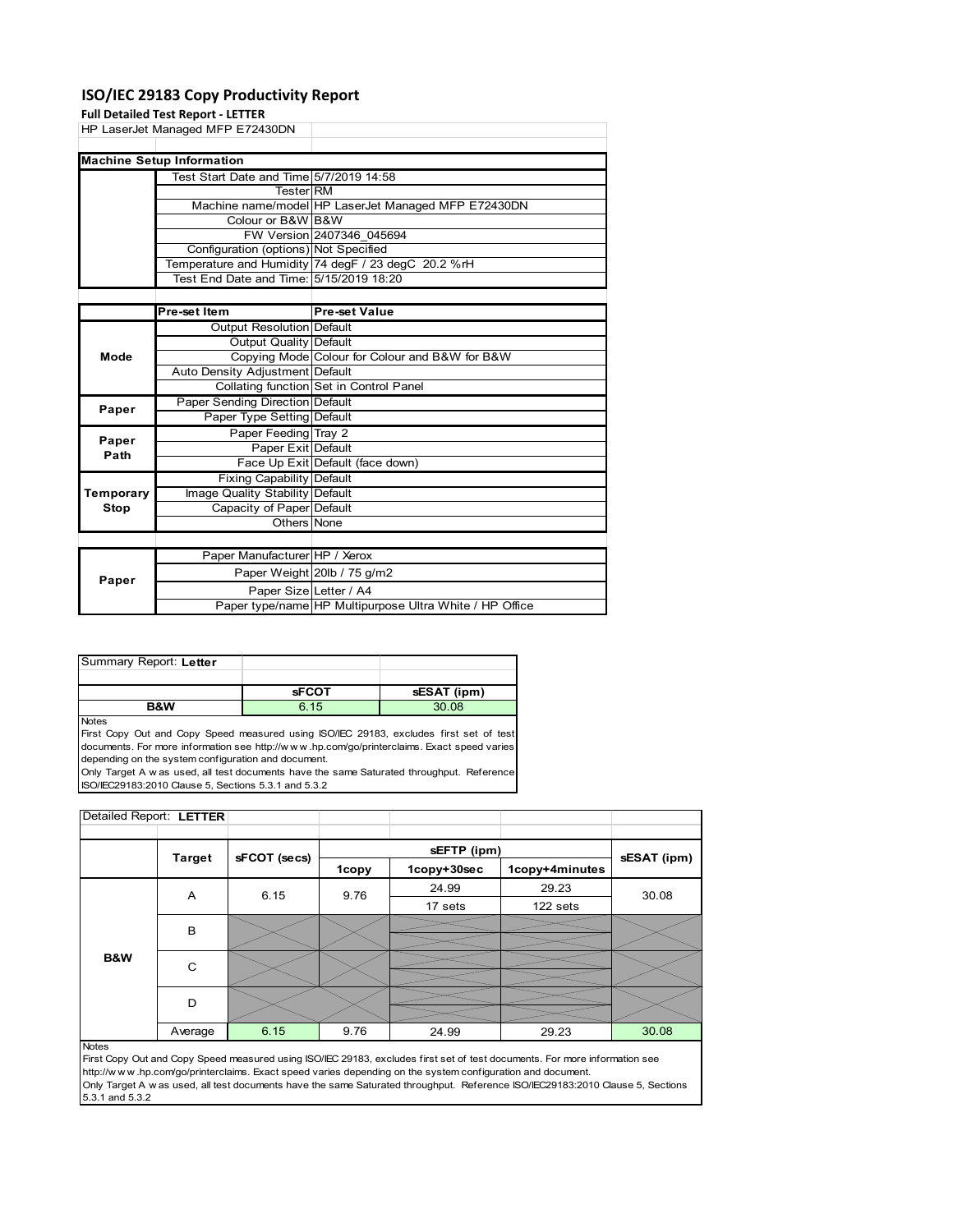## **ISO/IEC 29183 Copy Productivity Report**

#### **Full Detailed Test Report ‐ LETTER**

|             | <b>Full Detailed Test Report - LETTER</b>      |                                                     |  |  |
|-------------|------------------------------------------------|-----------------------------------------------------|--|--|
|             | HP LaserJet Managed MFP E72430DN               |                                                     |  |  |
|             |                                                |                                                     |  |  |
|             | <b>Machine Setup Information</b>               |                                                     |  |  |
|             | Test Start Date and Time 5/7/2019 14:58        |                                                     |  |  |
|             | <b>Tester RM</b>                               |                                                     |  |  |
|             |                                                | Machine name/model HP LaserJet Managed MFP E72430DN |  |  |
|             | Colour or B&W B&W                              |                                                     |  |  |
|             |                                                | FW Version 2407346 045694                           |  |  |
|             | Configuration (options) Not Specified          |                                                     |  |  |
|             |                                                | Temperature and Humidity 74 degF / 23 degC 20.2 %rH |  |  |
|             | Test End Date and Time: 5/15/2019 18:20        |                                                     |  |  |
|             |                                                |                                                     |  |  |
|             | Pre-set Item                                   | <b>Pre-set Value</b>                                |  |  |
|             | <b>Output Resolution Default</b>               |                                                     |  |  |
|             | Output Quality Default                         |                                                     |  |  |
| Mode        | Copying Mode Colour for Colour and B&W for B&W |                                                     |  |  |
|             | Auto Density Adjustment Default                |                                                     |  |  |
|             |                                                | Collating function Set in Control Panel             |  |  |
| Paper       | Paper Sending Direction Default                |                                                     |  |  |
|             | Paper Type Setting Default                     |                                                     |  |  |
| Paper       | Paper Feeding Tray 2                           |                                                     |  |  |
| Path        | Paper Exit Default                             |                                                     |  |  |
|             |                                                | Face Up Exit Default (face down)                    |  |  |
|             | <b>Fixing Capability Default</b>               |                                                     |  |  |
| Temporary   | Image Quality Stability Default                |                                                     |  |  |
| <b>Stop</b> | Capacity of Paper Default                      |                                                     |  |  |
|             | Others None                                    |                                                     |  |  |
|             |                                                |                                                     |  |  |
|             | Paper Manufacturer HP / Xerox                  |                                                     |  |  |
|             |                                                | Paper Weight 20lb / 75 g/m2                         |  |  |
| Paper       | Paper Size Letter / A4                         |                                                     |  |  |

| Summary Report: Letter |              |             |
|------------------------|--------------|-------------|
|                        |              |             |
|                        | <b>sFCOT</b> | sESAT (ipm) |

**B&W** 6.15 30.08

**Notes** 

First Copy Out and Copy Speed measured using ISO/IEC 29183, excludes first set of test documents. For more information see http://w w w .hp.com/go/printerclaims. Exact speed varies depending on the system configuration and document.

Only Target A w as used, all test documents have the same Saturated throughput. Reference ISO/IEC29183:2010 Clause 5, Sections 5.3.1 and 5.3.2

| Detailed Report: LETTER |               |              |       |             |                |             |
|-------------------------|---------------|--------------|-------|-------------|----------------|-------------|
|                         |               |              |       |             |                |             |
|                         | <b>Target</b> | sFCOT (secs) |       | sEFTP (ipm) |                | sESAT (ipm) |
|                         |               |              | 1copy | 1copy+30sec | 1copy+4minutes |             |
|                         | Α             | 6.15         | 9.76  | 24.99       | 29.23          | 30.08       |
|                         |               |              |       | 17 sets     | 122 sets       |             |
|                         | В             |              |       |             |                |             |
|                         |               |              |       |             |                |             |
| <b>B&amp;W</b>          | C             |              |       |             |                |             |
|                         |               |              |       |             |                |             |
|                         |               | D            |       |             |                |             |
|                         |               |              |       |             |                |             |
|                         | Average       | 6.15         | 9.76  | 24.99       | 29.23          | 30.08       |

Paper type/name HP Multipurpose Ultra White / HP Office

#### Notes

First Copy Out and Copy Speed measured using ISO/IEC 29183, excludes first set of test documents. For more information see http://w w w .hp.com/go/printerclaims. Exact speed varies depending on the system configuration and document. Only Target A w as used, all test documents have the same Saturated throughput. Reference ISO/IEC29183:2010 Clause 5, Sections 5.3.1 and 5.3.2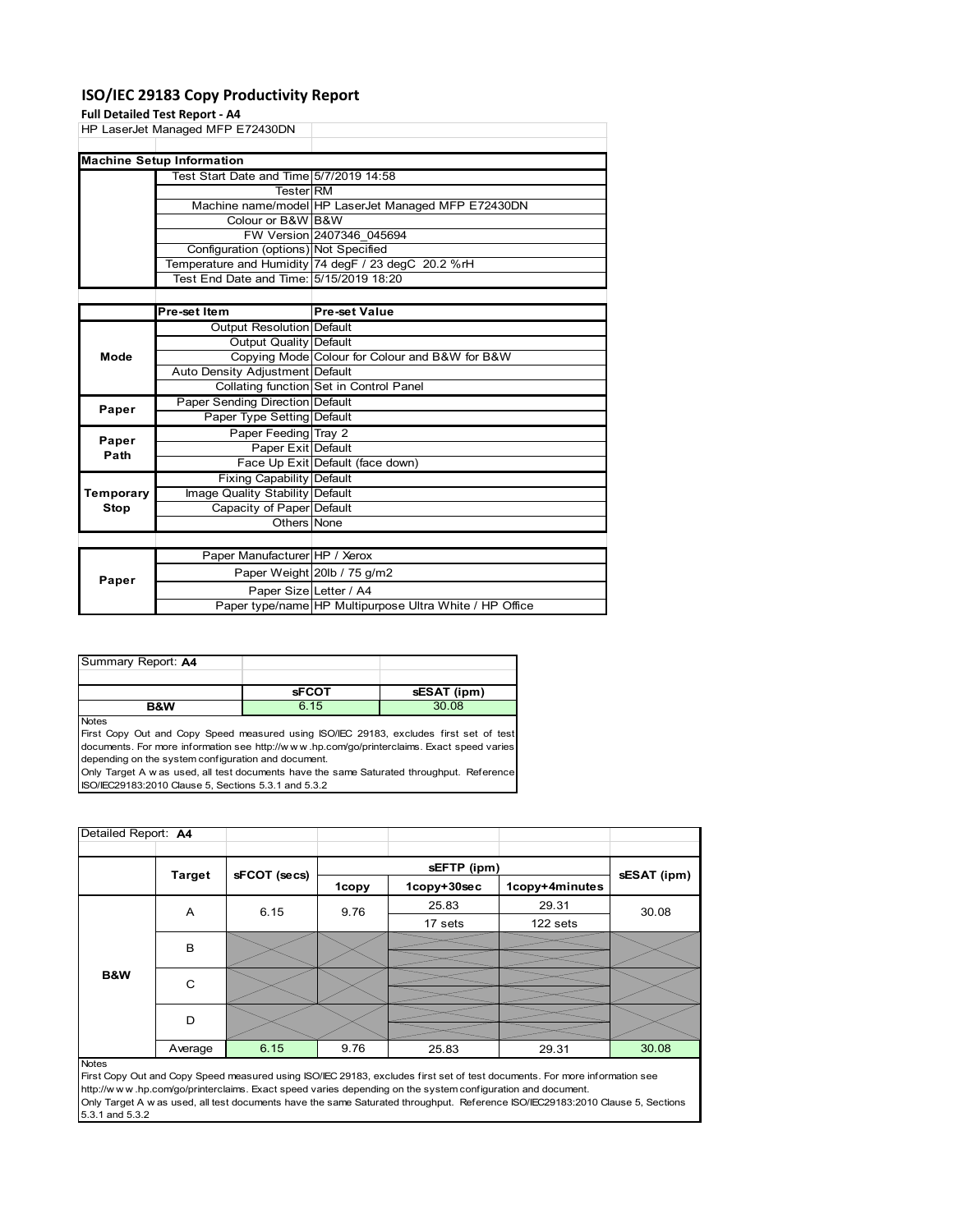### **ISO/IEC 29183 Copy Productivity Report**

## **Full Detailed Test Report**

|           | Full Detailed Test Report - A4          |                                                     |
|-----------|-----------------------------------------|-----------------------------------------------------|
|           | HP LaserJet Managed MFP E72430DN        |                                                     |
|           |                                         |                                                     |
|           | <b>Machine Setup Information</b>        |                                                     |
|           | Test Start Date and Time 5/7/2019 14:58 |                                                     |
|           | <b>Tester RM</b>                        |                                                     |
|           |                                         | Machine name/model HP LaserJet Managed MFP E72430DN |
|           | Colour or B&W B&W                       |                                                     |
|           |                                         | FW Version 2407346 045694                           |
|           | Configuration (options) Not Specified   |                                                     |
|           |                                         | Temperature and Humidity 74 degF / 23 degC 20.2 %rH |
|           | Test End Date and Time: 5/15/2019 18:20 |                                                     |
|           |                                         |                                                     |
|           | Pre-set Item                            | <b>Pre-set Value</b>                                |
|           | Output Resolution Default               |                                                     |
|           | Output Quality Default                  |                                                     |
| Mode      |                                         | Copying Mode Colour for Colour and B&W for B&W      |
|           | Auto Density Adjustment Default         |                                                     |
|           |                                         | Collating function Set in Control Panel             |
| Paper     | Paper Sending Direction Default         |                                                     |
|           | Paper Type Setting Default              |                                                     |
| Paper     | Paper Feeding Tray 2                    |                                                     |
| Path      | Paper Exit Default                      |                                                     |
|           |                                         | Face Up Exit Default (face down)                    |
|           | Fixing Capability Default               |                                                     |
| Temporary | Image Quality Stability Default         |                                                     |
| Stop      | Capacity of Paper Default               |                                                     |
|           | Others None                             |                                                     |
|           |                                         |                                                     |
|           | Paper Manufacturer HP / Xerox           |                                                     |
| Danor     |                                         | Paper Weight 20lb / 75 g/m2                         |

| Paper |                        | Paper Weight 20lb / 75 g/m2                             |
|-------|------------------------|---------------------------------------------------------|
|       | Paper SizelLetter / A4 |                                                         |
|       |                        | Paper type/name HP Multipurpose Ultra White / HP Office |
|       |                        |                                                         |

| Summary Report: A4 |              |             |
|--------------------|--------------|-------------|
|                    |              |             |
|                    | <b>SFCOT</b> | sESAT (ipm) |
| B&W                | 6.15         | 30.08       |

**Notes** 

First Copy Out and Copy Speed measured using ISO/IEC 29183, excludes first set of test documents. For more information see http://w w w .hp.com/go/printerclaims. Exact speed varies depending on the system configuration and document.

Only Target A w as used, all test documents have the same Saturated throughput. Reference ISO/IEC29183:2010 Clause 5, Sections 5.3.1 and 5.3.2

| Detailed Report: A4 |               |              |       |             |                |             |
|---------------------|---------------|--------------|-------|-------------|----------------|-------------|
|                     |               |              |       | sEFTP (ipm) |                |             |
|                     | <b>Target</b> | sFCOT (secs) | 1copy | 1copy+30sec | 1copy+4minutes | sESAT (ipm) |
|                     | A             | 6.15         | 9.76  | 25.83       | 29.31          | 30.08       |
|                     |               |              |       | 17 sets     | 122 sets       |             |
|                     | B             |              |       |             |                |             |
| B&W                 | C             |              |       |             |                |             |
|                     | D             |              |       |             |                |             |
|                     | Average       | 6.15         | 9.76  | 25.83       | 29.31          | 30.08       |
| <b>Notes</b>        |               |              |       |             |                |             |

First Copy Out and Copy Speed measured using ISO/IEC 29183, excludes first set of test documents. For more information see http://w w w .hp.com/go/printerclaims. Exact speed varies depending on the system configuration and document. Only Target A w as used, all test documents have the same Saturated throughput. Reference ISO/IEC29183:2010 Clause 5, Sections 5.3.1 and 5.3.2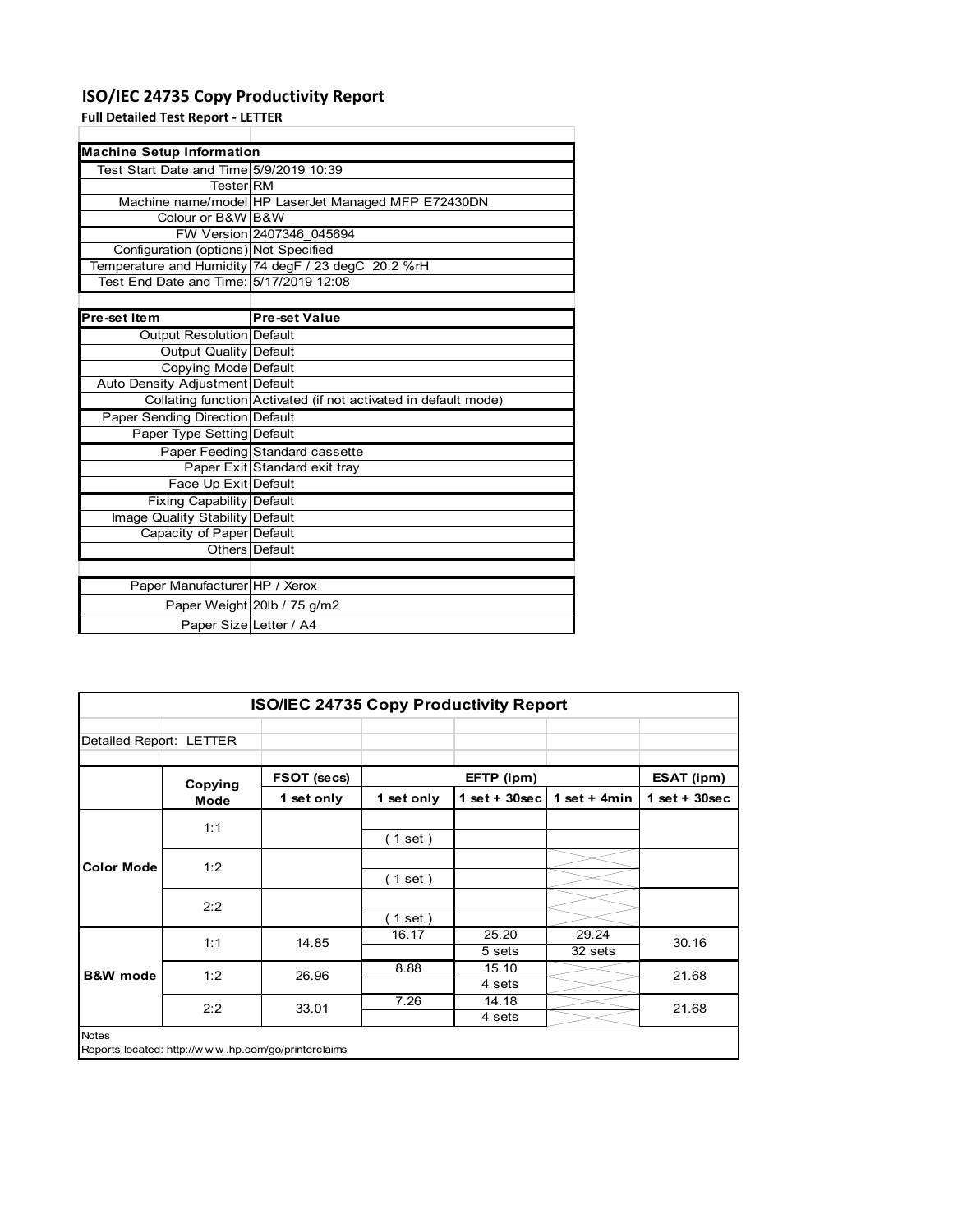## **ISO/IEC 24735 Copy Productivity Report**

**Full Detailed Test Report ‐ LETTER**

| <b>Machine Setup Information</b>        |                                                                 |  |  |  |  |
|-----------------------------------------|-----------------------------------------------------------------|--|--|--|--|
| Test Start Date and Time 5/9/2019 10:39 |                                                                 |  |  |  |  |
| <b>Tester</b> RM                        |                                                                 |  |  |  |  |
|                                         | Machine name/model HP LaserJet Managed MFP E72430DN             |  |  |  |  |
| Colour or B&W B&W                       |                                                                 |  |  |  |  |
|                                         | FW Version 2407346 045694                                       |  |  |  |  |
| Configuration (options) Not Specified   |                                                                 |  |  |  |  |
|                                         | Temperature and Humidity 74 degF / 23 degC 20.2 %rH             |  |  |  |  |
|                                         |                                                                 |  |  |  |  |
|                                         |                                                                 |  |  |  |  |
| Pre-set Item                            | <b>Pre-set Value</b>                                            |  |  |  |  |
| Output Resolution Default               |                                                                 |  |  |  |  |
| <b>Output Quality Default</b>           |                                                                 |  |  |  |  |
| Copying Mode Default                    |                                                                 |  |  |  |  |
| Auto Density Adjustment Default         |                                                                 |  |  |  |  |
|                                         | Collating function Activated (if not activated in default mode) |  |  |  |  |
| Paper Sending Direction Default         |                                                                 |  |  |  |  |
| Paper Type Setting Default              |                                                                 |  |  |  |  |
|                                         | Paper Feeding Standard cassette                                 |  |  |  |  |
|                                         | Paper Exit Standard exit tray                                   |  |  |  |  |
| Face Up Exit Default                    |                                                                 |  |  |  |  |
| <b>Fixing Capability Default</b>        |                                                                 |  |  |  |  |
| Image Quality Stability Default         |                                                                 |  |  |  |  |
| Capacity of Paper Default               |                                                                 |  |  |  |  |
|                                         | Others Default                                                  |  |  |  |  |
|                                         |                                                                 |  |  |  |  |
| Paper Manufacturer HP / Xerox           |                                                                 |  |  |  |  |
|                                         | Paper Weight 20lb / 75 g/m2                                     |  |  |  |  |
| Paper Size Letter / A4                  |                                                                 |  |  |  |  |

| <b>ISO/IEC 24735 Copy Productivity Report</b> |                                                     |             |            |                  |                  |                   |
|-----------------------------------------------|-----------------------------------------------------|-------------|------------|------------------|------------------|-------------------|
| Detailed Report: LETTER                       |                                                     |             |            |                  |                  |                   |
|                                               | Copying                                             | FSOT (secs) |            | EFTP (ipm)       |                  | <b>ESAT (ipm)</b> |
|                                               | Mode                                                | 1 set only  | 1 set only | 1 set + $30$ sec | 1 set $+$ 4min   | $1$ set + 30sec   |
|                                               | 1:1                                                 |             | (1 set)    |                  |                  |                   |
| <b>Color Mode</b>                             | 1:2                                                 |             | (1 set)    |                  |                  |                   |
|                                               | 2:2                                                 |             | (1 set)    |                  |                  |                   |
|                                               | 1:1                                                 | 14.85       | 16.17      | 25.20<br>5 sets  | 29.24<br>32 sets | 30.16             |
| <b>B&amp;W</b> mode                           | 1:2                                                 | 26.96       | 8.88       | 15.10<br>4 sets  |                  | 21.68             |
|                                               | 2:2                                                 | 33.01       | 7.26       | 14.18<br>4 sets  |                  | 21.68             |
| <b>Notes</b>                                  | Reports located: http://www.hp.com/go/printerclaims |             |            |                  |                  |                   |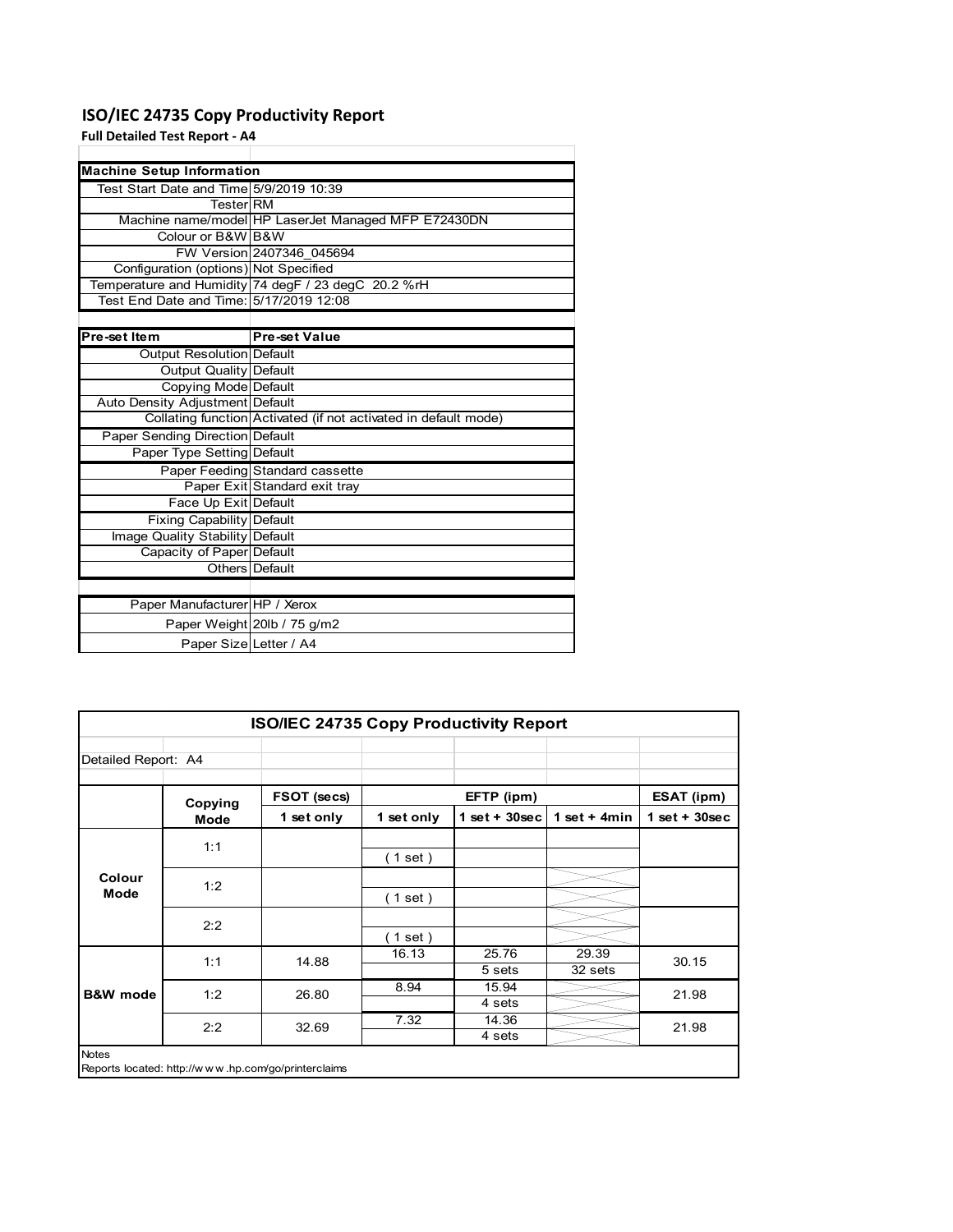## **ISO/IEC 24735 Copy Productivity Report**

## **Full Detailed Test Report ‐ A4**

| <b>Machine Setup Information</b>        |                                                                 |
|-----------------------------------------|-----------------------------------------------------------------|
| Test Start Date and Time 5/9/2019 10:39 |                                                                 |
| TesterlRM                               |                                                                 |
|                                         | Machine name/model HP LaserJet Managed MFP E72430DN             |
| Colour or B&W B&W                       |                                                                 |
|                                         | FW Version 2407346 045694                                       |
| Configuration (options) Not Specified   |                                                                 |
|                                         | Temperature and Humidity 74 degF / 23 degC 20.2 %rH             |
| Test End Date and Time: 5/17/2019 12:08 |                                                                 |
|                                         |                                                                 |
| Pre-set Item                            | <b>Pre-set Value</b>                                            |
| <b>Output Resolution Default</b>        |                                                                 |
| Output Quality Default                  |                                                                 |
| Copying Mode Default                    |                                                                 |
| Auto Density Adjustment Default         |                                                                 |
|                                         | Collating function Activated (if not activated in default mode) |
| <b>Paper Sending Direction Default</b>  |                                                                 |
| Paper Type Setting Default              |                                                                 |
|                                         | Paper Feeding Standard cassette                                 |
|                                         | Paper Exit Standard exit tray                                   |
| Face Up Exit Default                    |                                                                 |
| Fixing Capability Default               |                                                                 |
| Image Quality Stability Default         |                                                                 |
| Capacity of Paper Default               |                                                                 |
|                                         | Others   Default                                                |
|                                         |                                                                 |
| Paper Manufacturer HP / Xerox           |                                                                 |
|                                         | Paper Weight 20lb / 75 g/m2                                     |
| Paper Size Letter / A4                  |                                                                 |

| <b>ISO/IEC 24735 Copy Productivity Report</b> |                                                     |             |            |                 |                  |                 |  |
|-----------------------------------------------|-----------------------------------------------------|-------------|------------|-----------------|------------------|-----------------|--|
| Detailed Report: A4                           |                                                     |             |            |                 |                  |                 |  |
|                                               | Copying                                             | FSOT (secs) |            | EFTP (ipm)      |                  | ESAT (ipm)      |  |
|                                               | Mode                                                | 1 set only  | 1 set only | $1$ set + 30sec | 1 set $+$ 4min   | $1$ set + 30sec |  |
|                                               | 1:1                                                 |             | (1 set)    |                 |                  |                 |  |
| Colour<br>Mode                                | 1:2                                                 |             | (1 set)    |                 |                  |                 |  |
|                                               | 2:2                                                 |             | $1$ set)   |                 |                  |                 |  |
|                                               | 1:1                                                 | 14.88       | 16.13      | 25.76<br>5 sets | 29.39<br>32 sets | 30.15           |  |
| <b>B&amp;W</b> mode                           | 1:2                                                 | 26.80       | 8.94       | 15.94<br>4 sets |                  | 21.98           |  |
|                                               | 2:2                                                 | 32.69       | 7.32       | 14.36<br>4 sets |                  | 21.98           |  |
| <b>Notes</b>                                  | Reports located: http://www.hp.com/go/printerclaims |             |            |                 |                  |                 |  |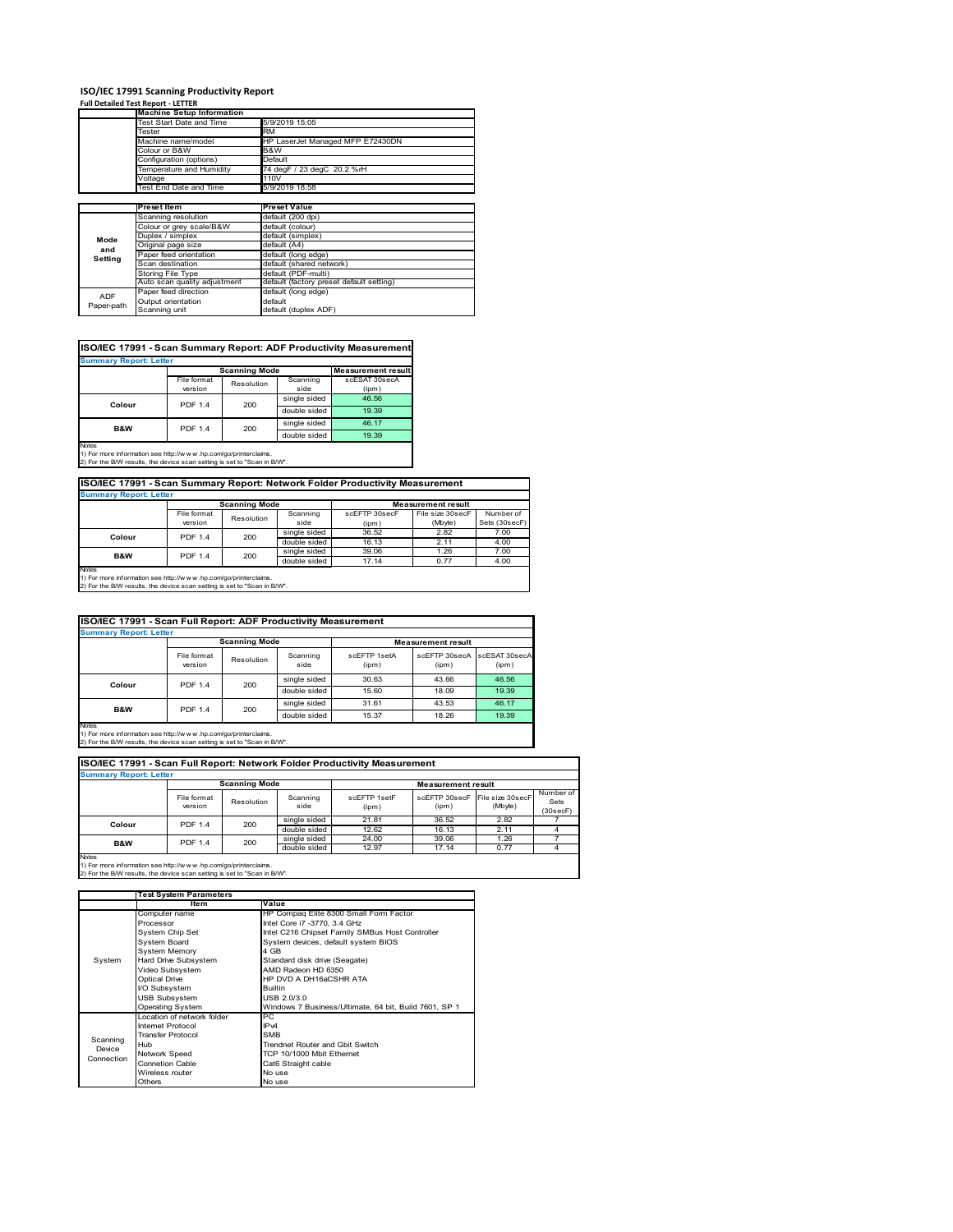## **ISO/IEC 17991 Scanning Productivity Report Full Detailed Test Report ‐ LETTER**

|            | <b>Machine Setup Information</b> |                                          |  |  |
|------------|----------------------------------|------------------------------------------|--|--|
|            | Test Start Date and Time         | 5/9/2019 15:05                           |  |  |
|            | Tester                           | <b>RM</b>                                |  |  |
|            | Machine name/model               | HP LaserJet Managed MFP E72430DN         |  |  |
|            | Colour or B&W                    | B&W                                      |  |  |
|            | Configuration (options)          | Default                                  |  |  |
|            | Temperature and Humidity         | 74 degF / 23 degC 20.2 %rH               |  |  |
|            | Voltage                          | 110V                                     |  |  |
|            | Test End Date and Time           | 5/9/2019 18:58                           |  |  |
|            |                                  |                                          |  |  |
|            | Preset Item                      | <b>Preset Value</b>                      |  |  |
|            | Scanning resolution              | default (200 dpi)                        |  |  |
|            | Colour or grey scale/B&W         | default (colour)                         |  |  |
| Mode       | Duplex / simplex                 | default (simplex)                        |  |  |
| and        | Original page size               | default (A4)                             |  |  |
| Setting    | Paper feed orientation           | default (long edge)                      |  |  |
|            | Scan destination                 | default (shared network)                 |  |  |
|            | <b>Storing File Type</b>         | default (PDF-multi)                      |  |  |
|            | Auto scan quality adjustment     | default (factory preset default setting) |  |  |
| <b>ADF</b> | Paper feed direction             | default (long edge)                      |  |  |
|            | Output orientation               | default                                  |  |  |
| Paper-path |                                  |                                          |  |  |

| <b>Summary Report: Letter</b> |                |                      |              |                           |  |  |  |
|-------------------------------|----------------|----------------------|--------------|---------------------------|--|--|--|
|                               |                | <b>Scanning Mode</b> |              | <b>Measurement result</b> |  |  |  |
|                               | File format    | Resolution           | Scanning     | scESAT 30secA             |  |  |  |
|                               | version        |                      | side         | (ipm)                     |  |  |  |
| Colour                        | <b>PDF 1.4</b> | 200                  | single sided | 46.56                     |  |  |  |
|                               |                |                      | double sided | 19.39                     |  |  |  |
| B&W                           | <b>PDF 1.4</b> | 200                  | single sided | 46.17                     |  |  |  |
|                               |                |                      | double sided | 19.39                     |  |  |  |

Notes 1) For more information see http://w w w .hp.com/go/printerclaims. 2) For the B/W results, the device scan setting is set to "Scan in B/W".

**ISO/IEC 17991 - Scan Summary Report: Network Folder Productivity Measurement**

| <b>Summary Report: Letter</b> |                      |            |              |                           |                  |               |
|-------------------------------|----------------------|------------|--------------|---------------------------|------------------|---------------|
|                               | <b>Scanning Mode</b> |            |              | <b>Measurement result</b> |                  |               |
|                               | File format          | Resolution | Scanning     | scEFTP 30secF             | File size 30secF | Number of     |
|                               | version              |            | side         | (ipm)                     | (Mbyte)          | Sets (30secF) |
| <b>PDF 1.4</b><br>Colour      |                      | 200        | single sided | 36.52                     | 2.82             | 7.00          |
|                               |                      |            | double sided | 16.13                     | 2.11             | 4.00          |
| <b>B&amp;W</b>                | <b>PDF 1.4</b>       | 200        | single sided | 39.06                     | 1.26             | 7.00          |
|                               |                      |            | double sided | 17.14                     | 0.77             | 4.00          |
| <b>Notes</b>                  |                      |            |              |                           |                  |               |

┓

Notes 1) For more information see http://w w w .hp.com/go/printerclaims. 2) For the B/W results, the device scan setting is set to "Scan in B/W".

| ISO/IEC 17991 - Scan Full Report: ADF Productivity Measurement |                        |            |                  |                       |                           |                        |  |
|----------------------------------------------------------------|------------------------|------------|------------------|-----------------------|---------------------------|------------------------|--|
| <b>Summary Report: Letter</b>                                  |                        |            |                  |                       |                           |                        |  |
|                                                                | <b>Scanning Mode</b>   |            |                  |                       | <b>Measurement result</b> |                        |  |
|                                                                | File format<br>version | Resolution | Scanning<br>side | scFFTP 1setA<br>(ipm) | scEETP 30secA<br>(ipm)    | scESAT 30secA<br>(ipm) |  |
| Colour                                                         | <b>PDF 1.4</b>         | 200        | single sided     | 30.63                 | 43.66                     | 46.56                  |  |
|                                                                |                        |            | double sided     | 15.60                 | 18.09                     | 19.39                  |  |
| <b>B&amp;W</b>                                                 | <b>PDF 1.4</b>         | 200        | single sided     | 31.61                 | 43.53                     | 46.17                  |  |
|                                                                |                        |            | double sided     | 15.37                 | 18.26                     | 19.39                  |  |
| <b>Notes</b>                                                   |                        |            |                  |                       |                           |                        |  |

Notes 1) For more information see http://w w w .hp.com/go/printerclaims. 2) For the B/W results, the device scan setting is set to "Scan in B/W".

| ISO/IEC 17991 - Scan Full Report: Network Folder Productivity Measurement |                        |              |                  |                       |                           |                             |                               |  |
|---------------------------------------------------------------------------|------------------------|--------------|------------------|-----------------------|---------------------------|-----------------------------|-------------------------------|--|
| <b>Summary Report: Letter</b>                                             |                        |              |                  |                       |                           |                             |                               |  |
| <b>Scanning Mode</b>                                                      |                        |              |                  |                       | <b>Measurement result</b> |                             |                               |  |
|                                                                           | File format<br>version | Resolution   | Scanning<br>side | scFFTP 1setF<br>(ipm) | scEFTP 30secF<br>(ipm)    | File size 30secF<br>(Mbyte) | Number of<br>Sets<br>(30secF) |  |
| Colour                                                                    | <b>PDF 1.4</b>         | 200          | single sided     | 21.81                 | 36.52                     | 2.82                        |                               |  |
|                                                                           |                        |              | double sided     | 12.62                 | 16.13                     | 2.11                        |                               |  |
| <b>B&amp;W</b>                                                            | 200<br><b>PDF 1.4</b>  | single sided | 24.00            | 39.06                 | 1.26                      |                             |                               |  |
|                                                                           |                        |              | double sided     | 12.97                 | 17.14                     | 0.77                        |                               |  |
| <b>Notes</b>                                                              |                        |              |                  |                       |                           |                             |                               |  |

|            | <b>Test System Parameters</b> |                                                       |  |
|------------|-------------------------------|-------------------------------------------------------|--|
|            | Item                          | Value                                                 |  |
|            | Computer name                 | HP Compaq Elite 8300 Small Form Factor                |  |
|            | Processor                     | Intel Core i7 -3770, 3.4 GHz                          |  |
|            | System Chip Set               | Intel C216 Chipset Family SMBus Host Controller       |  |
|            | <b>System Board</b>           | System devices, default system BIOS                   |  |
|            | <b>System Memory</b>          | 4 GB                                                  |  |
| System     | Hard Drive Subsystem          | Standard disk drive (Seagate)                         |  |
|            | Video Subsystem               | AMD Radeon HD 6350                                    |  |
|            | Optical Drive                 | HP DVD A DH16aCSHR ATA                                |  |
|            | I/O Subsystem                 | <b>Builtin</b>                                        |  |
|            | <b>USB Subsystem</b>          | USB 2.0/3.0                                           |  |
|            | <b>Operating System</b>       | Windows 7 Business/Ultimate, 64 bit, Build 7601, SP 1 |  |
|            | I ocation of network folder   | PC.                                                   |  |
|            | Internet Protocol             | IP <sub>v4</sub>                                      |  |
| Scanning   | <b>Transfer Protocol</b>      | <b>SMB</b>                                            |  |
| Device     | Hub                           | Trendnet Router and Gbit Switch                       |  |
| Connection | Network Speed                 | TCP 10/1000 Mbit Ethernet                             |  |
|            | <b>Connetion Cable</b>        | Cat6 Straight cable                                   |  |
|            | Wireless router               | No use                                                |  |
|            | Others                        | No use                                                |  |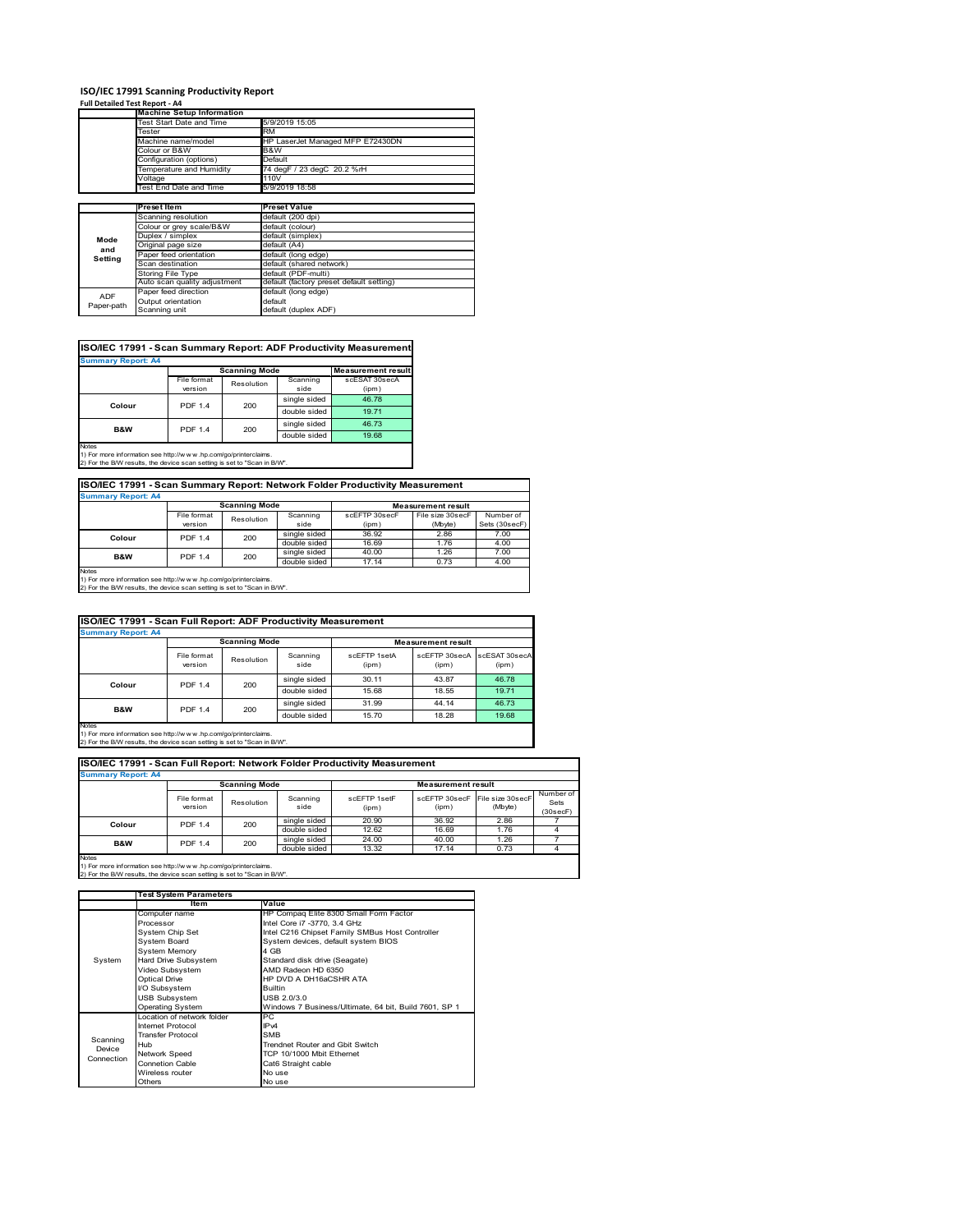### **ISO/IEC 17991 Scanning Productivity Report**

**Full Detailed Test Report ‐ A4**

|            | <b>Machine Setup Information</b> |                                          |  |  |
|------------|----------------------------------|------------------------------------------|--|--|
|            | <b>Test Start Date and Time</b>  | 5/9/2019 15:05                           |  |  |
|            | Tester                           | <b>RM</b>                                |  |  |
|            | Machine name/model               | HP LaserJet Managed MFP E72430DN         |  |  |
|            | Colour or B&W                    | B&W                                      |  |  |
|            | Configuration (options)          | Default                                  |  |  |
|            | Temperature and Humidity         | 74 degF / 23 degC 20.2 %rH               |  |  |
|            | Voltage                          | 110V                                     |  |  |
|            | Test End Date and Time           | 5/9/2019 18:58                           |  |  |
|            |                                  |                                          |  |  |
|            | Preset Item                      | <b>Preset Value</b>                      |  |  |
|            | Scanning resolution              | default (200 dpi)                        |  |  |
|            | Colour or grey scale/B&W         | default (colour)                         |  |  |
| Mode       | Duplex / simplex                 | default (simplex)                        |  |  |
| and        | Original page size               | default (A4)                             |  |  |
| Setting    | Paper feed orientation           | default (long edge)                      |  |  |
|            | Scan destination                 | default (shared network)                 |  |  |
|            | <b>Storing File Type</b>         | default (PDF-multi)                      |  |  |
|            | Auto scan quality adjustment     | default (factory preset default setting) |  |  |
| <b>ADF</b> | Paper feed direction             | default (long edge)                      |  |  |
|            | Output orientation               | default                                  |  |  |
| Paper-path | Scanning unit                    | default (duplex ADF)                     |  |  |

| ISO/IEC 17991 - Scan Summary Report: ADF Productivity Measurement |                |                      |              |                           |  |  |  |
|-------------------------------------------------------------------|----------------|----------------------|--------------|---------------------------|--|--|--|
| <b>Summary Report: A4</b>                                         |                |                      |              |                           |  |  |  |
|                                                                   |                | <b>Scanning Mode</b> |              | <b>Measurement result</b> |  |  |  |
|                                                                   | File format    | Resolution           | Scanning     | scESAT 30secA             |  |  |  |
|                                                                   | version        |                      | side         | (ipm)                     |  |  |  |
| Colour                                                            | <b>PDF 1.4</b> | 200                  | single sided | 46.78                     |  |  |  |
|                                                                   |                |                      | double sided | 19.71                     |  |  |  |
| B&W                                                               | <b>PDF 1.4</b> | 200                  | single sided | 46.73                     |  |  |  |
|                                                                   |                |                      | double sided | 19.68                     |  |  |  |
| Notes                                                             |                |                      |              |                           |  |  |  |

Notes 1) For more information see http://w w w .hp.com/go/printerclaims. 2) For the B/W results, the device scan setting is set to "Scan in B/W".

File format<br>version le format Resolution Scanning<br>
version Resolution side scEFTP 30secF (ipm) File size 30secF (Mbyte) Number of Sets (30secF) single sided 36.92 2.86 7.00<br>
double sided 16.69 1.76 4.00 **ISO/IEC 17991 - Scan Summary Report: Network Folder Productivity Measurement Summary Report: A4 Measurement result Scanning Mode Colour** PDF 1.4 200

double sided 16.69 1.76 4.00<br>single sided 40.00 1.26 7.00 single sided 40.00 1.26 7.00 double sided 17.14 0.73 4.00 Notes 1) For more information see http://w w w .hp.com/go/printerclaims. 2) For the B/W results, the device scan setting is set to "Scan in B/W". **B&W** PDF 1.4 200

|                           | ISO/IEC 17991 - Scan Full Report: ADF Productivity Measurement |                      |                  |                       |                           |                        |  |
|---------------------------|----------------------------------------------------------------|----------------------|------------------|-----------------------|---------------------------|------------------------|--|
| <b>Summary Report: A4</b> |                                                                |                      |                  |                       |                           |                        |  |
|                           |                                                                | <b>Scanning Mode</b> |                  |                       | <b>Measurement result</b> |                        |  |
|                           | File format<br>version                                         | Resolution           | Scanning<br>side | scFFTP 1setA<br>(ipm) | scEFTP 30secA<br>(ipm)    | scESAT 30secA<br>(ipm) |  |
| Colour                    | <b>PDF 1.4</b>                                                 | 200                  | single sided     | 30.11                 | 43.87                     | 46.78                  |  |
|                           |                                                                |                      | double sided     | 15.68                 | 18.55                     | 19.71                  |  |
| <b>B&amp;W</b>            | <b>PDF 1.4</b>                                                 | 200                  | single sided     | 31.99                 | 44.14                     | 46.73                  |  |
|                           |                                                                |                      | double sided     | 15.70                 | 18.28                     | 19.68                  |  |
| Notes                     |                                                                |                      |                  |                       |                           |                        |  |

Notes 1) For more information see http://w w w .hp.com/go/printerclaims. 2) For the B/W results, the device scan setting is set to "Scan in B/W".

File format Resolution Scanning side scEFTP 1setF (ipm) scEFTP 30secF (ipm) File size 30secF (Mbyte) Number of Sets (30secF) single sided 20.90 36.92 2.86 double sided 12.62 16.69 1.76 4<br>single sided 24.00 40.00 1.26 7 single sided 24.00 40.00 1.26 7<br>double sided 13.32 17.14 0.73 4 **Scanning Mode Measurement result Colour** PDF 1.4 200 **B&W** PDF 1.4 200 **Summary Report: A4 ISO/IEC 17991 - Scan Full Report: Network Folder Productivity Measurement**

|            | <b>Test System Parameters</b> |                                                       |  |
|------------|-------------------------------|-------------------------------------------------------|--|
|            | Item                          | Value                                                 |  |
|            | Computer name                 | HP Compaq Elite 8300 Small Form Factor                |  |
|            | Processor                     | Intel Core i7 -3770, 3.4 GHz                          |  |
|            | System Chip Set               | Intel C216 Chipset Family SMBus Host Controller       |  |
|            | <b>System Board</b>           | System devices, default system BIOS                   |  |
|            | <b>System Memory</b>          | 4 GB                                                  |  |
| System     | Hard Drive Subsystem          | Standard disk drive (Seagate)                         |  |
|            | Video Subsystem               | AMD Radeon HD 6350                                    |  |
|            | <b>Optical Drive</b>          | HP DVD A DH16aCSHR ATA                                |  |
|            | I/O Subsystem                 | <b>Builtin</b>                                        |  |
|            | <b>USB Subsystem</b>          | USB 2.0/3.0                                           |  |
|            | <b>Operating System</b>       | Windows 7 Business/Ultimate, 64 bit, Build 7601, SP 1 |  |
|            | I ocation of network folder   | PC.                                                   |  |
|            | Internet Protocol             | IP <sub>v4</sub>                                      |  |
| Scanning   | <b>Transfer Protocol</b>      | <b>SMB</b>                                            |  |
| Device     | Hub                           | Trendnet Router and Gbit Switch                       |  |
| Connection | Network Speed                 | TCP 10/1000 Mbit Ethernet                             |  |
|            | <b>Connetion Cable</b>        | Cat6 Straight cable                                   |  |
|            | Wireless router               | No use                                                |  |
|            | Others                        | No use                                                |  |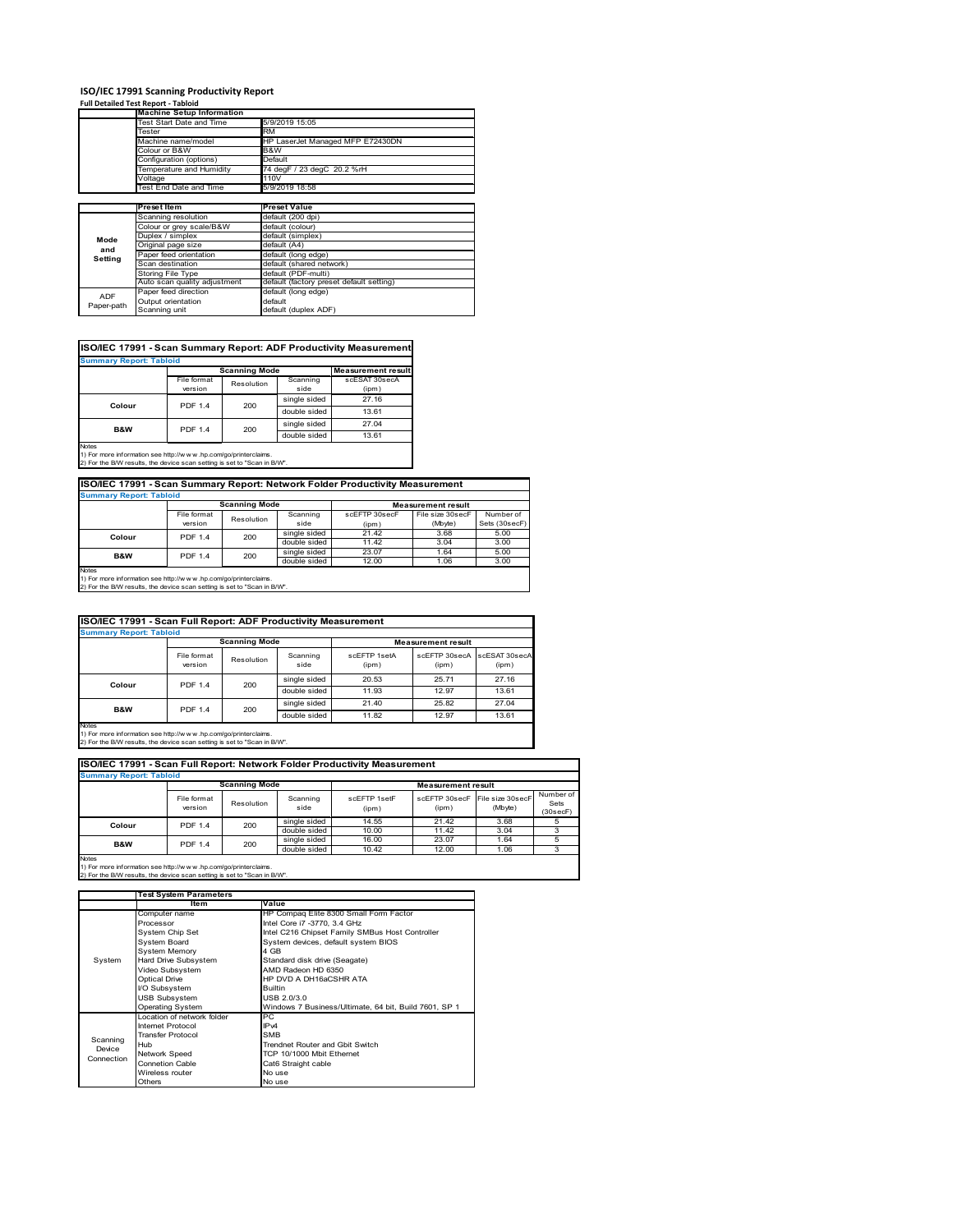# **ISO/IEC 17991 Scanning Productivity Report Full Detailed Test Report ‐ Tabloid Machine Setup Information**

|            | <b>Machine Setup Information</b> |                                          |
|------------|----------------------------------|------------------------------------------|
|            | Test Start Date and Time         | 5/9/2019 15:05                           |
|            | Tester                           | <b>RM</b>                                |
|            | Machine name/model               | HP LaserJet Managed MFP E72430DN         |
|            | Colour or B&W                    | B&W                                      |
|            | Configuration (options)          | Default                                  |
|            | Temperature and Humidity         | 74 degF / 23 degC 20.2 %rH               |
|            | Voltage                          | 110V                                     |
|            | Test End Date and Time           | 5/9/2019 18:58                           |
|            |                                  |                                          |
|            | Preset Item                      | <b>Preset Value</b>                      |
|            | Scanning resolution              | default (200 dpi)                        |
|            | Colour or grey scale/B&W         | default (colour)                         |
| Mode       | Duplex / simplex                 | default (simplex)                        |
|            | Original page size               | default (A4)                             |
| and        | Paper feed orientation           | default (long edge)                      |
| Setting    | Scan destination                 | default (shared network)                 |
|            | <b>Storing File Type</b>         | default (PDF-multi)                      |
|            | Auto scan quality adjustment     | default (factory preset default setting) |
|            | Paper feed direction             | default (long edge)                      |
| <b>ADF</b> | Output orientation               | default                                  |
| Paper-path | Scanning unit                    | default (duplex ADF)                     |

| <b>Summary Report: Tabloid</b> |                |                      |              |                           |  |  |  |
|--------------------------------|----------------|----------------------|--------------|---------------------------|--|--|--|
|                                |                | <b>Scanning Mode</b> |              | <b>Measurement result</b> |  |  |  |
|                                | File format    | Resolution           | Scanning     | scESAT 30secA             |  |  |  |
|                                | version        |                      | side         | (ipm)                     |  |  |  |
| Colour                         | <b>PDF 1.4</b> | 200                  | single sided | 27.16                     |  |  |  |
|                                |                |                      | double sided | 13.61                     |  |  |  |
| <b>B&amp;W</b>                 | <b>PDF 1.4</b> | 200                  | single sided | 27.04                     |  |  |  |
|                                |                |                      | double sided | 13.61                     |  |  |  |

1) For more information see http://w w w .hp.com/go/printerclaims. 2) For the B/W results, the device scan setting is set to "Scan in B/W".

| ISO/IEC 17991 - Scan Summary Report: Network Folder Productivity Measurement |                |            |              |                           |                  |               |  |
|------------------------------------------------------------------------------|----------------|------------|--------------|---------------------------|------------------|---------------|--|
| <b>Summary Report: Tabloid</b>                                               |                |            |              |                           |                  |               |  |
| <b>Scanning Mode</b>                                                         |                |            |              | <b>Measurement result</b> |                  |               |  |
|                                                                              | File format    | Resolution | Scanning     | scEFTP 30secF             | File size 30secF | Number of     |  |
|                                                                              | version        |            | side         | (ipm)                     | (Mbyte)          | Sets (30secF) |  |
| Colour                                                                       | <b>PDF 1.4</b> | 200        | single sided | 21.42                     | 3.68             | 5.00          |  |
|                                                                              |                |            | double sided | 11.42                     | 3.04             | 3.00          |  |
| <b>B&amp;W</b>                                                               | <b>PDF 1.4</b> | 200        | single sided | 23.07                     | 1.64             | 5.00          |  |
|                                                                              |                |            | double sided | 12.00                     | 1.06             | 3.00          |  |
| Motor                                                                        |                |            |              |                           |                  |               |  |

Notes 1) For more information see http://w w w .hp.com/go/printerclaims. 2) For the B/W results, the device scan setting is set to "Scan in B/W".

| <b>Summary Report: Tabloid</b>                                                                                                                                 |                        |              |                  |                       |                           |                        |  |
|----------------------------------------------------------------------------------------------------------------------------------------------------------------|------------------------|--------------|------------------|-----------------------|---------------------------|------------------------|--|
|                                                                                                                                                                | <b>Scanning Mode</b>   |              |                  |                       | <b>Measurement result</b> |                        |  |
|                                                                                                                                                                | File format<br>version | Resolution   | Scanning<br>side | scFFTP 1setA<br>(ipm) | scEETP 30secA<br>(ipm)    | scESAT 30secA<br>(ipm) |  |
| <b>PDF 1.4</b><br>Colour                                                                                                                                       | 200                    | single sided | 20.53            | 25.71                 | 27.16                     |                        |  |
|                                                                                                                                                                |                        | double sided | 11.93            | 12.97                 | 13.61                     |                        |  |
| <b>B&amp;W</b>                                                                                                                                                 | <b>PDF 1.4</b>         | 200          | single sided     | 21.40                 | 25.82                     | 27.04                  |  |
|                                                                                                                                                                |                        |              | double sided     | 11.82                 | 12.97                     | 13.61                  |  |
| <b>Notes</b><br>1) For more information see http://w w w .hp.com/go/printerclaims.<br>2) For the B/W results, the device scan setting is set to "Scan in B/W". |                        |              |                  |                       |                           |                        |  |

| ISO/IEC 17991 - Scan Full Report: Network Folder Productivity Measurement<br><b>Summary Report: Tabloid</b> |                        |              |                  |                           |                        |                             |                               |
|-------------------------------------------------------------------------------------------------------------|------------------------|--------------|------------------|---------------------------|------------------------|-----------------------------|-------------------------------|
| <b>Scanning Mode</b>                                                                                        |                        |              |                  | <b>Measurement result</b> |                        |                             |                               |
|                                                                                                             | File format<br>version | Resolution   | Scanning<br>side | scEFTP 1setF<br>(ipm)     | scEFTP 30secF<br>(ipm) | File size 30secF<br>(Mbyte) | Number of<br>Sets<br>(30secF) |
| Colour                                                                                                      | <b>PDF 1.4</b>         | 200          | single sided     | 14.55                     | 21.42                  | 3.68                        |                               |
|                                                                                                             |                        |              | double sided     | 10.00                     | 11.42                  | 3.04                        |                               |
| <b>B&amp;W</b>                                                                                              | 200<br><b>PDF 1.4</b>  | single sided | 16.00            | 23.07                     | 1.64                   |                             |                               |
|                                                                                                             |                        |              | double sided     | 10.42                     | 12.00                  | 1.06                        |                               |
| <b>Notes</b>                                                                                                |                        |              |                  |                           |                        |                             |                               |

|            | Test System Parameters     |                                                       |  |  |
|------------|----------------------------|-------------------------------------------------------|--|--|
|            | Item                       | Value                                                 |  |  |
|            | Computer name              | HP Compaq Elite 8300 Small Form Factor                |  |  |
|            | Processor                  | Intel Core i7 -3770, 3.4 GHz                          |  |  |
|            | System Chip Set            | Intel C216 Chipset Family SMBus Host Controller       |  |  |
|            | System Board               | System devices, default system BIOS                   |  |  |
|            | <b>System Memory</b>       | 4 GB                                                  |  |  |
| System     | Hard Drive Subsystem       | Standard disk drive (Seagate)                         |  |  |
|            | Video Subsystem            | AMD Radeon HD 6350                                    |  |  |
|            | Optical Drive              | HP DVD A DH16aCSHR ATA                                |  |  |
|            | I/O Subsystem              | <b>Builtin</b>                                        |  |  |
|            | <b>USB Subsystem</b>       | USB 2.0/3.0                                           |  |  |
|            | <b>Operating System</b>    | Windows 7 Business/Ultimate, 64 bit, Build 7601, SP 1 |  |  |
|            | Location of network folder | PC.                                                   |  |  |
|            | Internet Protocol          | IP <sub>v4</sub>                                      |  |  |
| Scanning   | <b>Transfer Protocol</b>   | <b>SMB</b>                                            |  |  |
| Device     | Hub                        | Trendnet Router and Gbit Switch                       |  |  |
| Connection | Network Speed              | TCP 10/1000 Mbit Ethernet                             |  |  |
|            | <b>Connetion Cable</b>     | Cat6 Straight cable                                   |  |  |
|            | Wireless router            | No use                                                |  |  |
|            | Others                     | No use                                                |  |  |